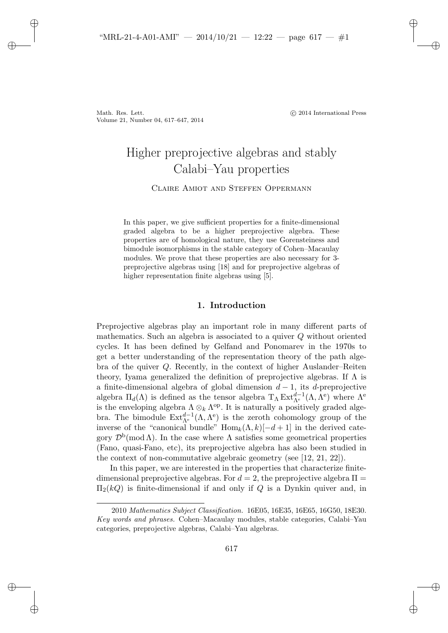Math. Res. Lett. -Volume 21, Number 04, 617–647, 2014

✐

✐

✐

✐

c 2014 International Press

✐

✐

✐

✐

# Higher preprojective algebras and stably Calabi–Yau properties

Claire Amiot and Steffen Oppermann

In this paper, we give sufficient properties for a finite-dimensional graded algebra to be a higher preprojective algebra. These properties are of homological nature, they use Gorensteiness and bimodule isomorphisms in the stable category of Cohen–Macaulay modules. We prove that these properties are also necessary for 3 preprojective algebras using [18] and for preprojective algebras of higher representation finite algebras using [5].

# **1. Introduction**

Preprojective algebras play an important role in many different parts of mathematics. Such an algebra is associated to a quiver Q without oriented cycles. It has been defined by Gelfand and Ponomarev in the 1970s to get a better understanding of the representation theory of the path algebra of the quiver  $Q$ . Recently, in the context of higher Auslander–Reiten theory, Iyama generalized the definition of preprojective algebras. If  $\Lambda$  is a finite-dimensional algebra of global dimension  $d-1$ , its d-preprojective algebra  $\Pi_d(\Lambda)$  is defined as the tensor algebra  $T_\Lambda \operatorname{Ext}_{\Lambda^e}^{d-1}(\Lambda, \Lambda^e)$  where  $\Lambda^e$ is the enveloping algebra  $\Lambda \otimes_k \Lambda^{op}$ . It is naturally a positively graded algebra. The bimodule  $\text{Ext}_{\Lambda^e}^{d-1}(\Lambda, \Lambda^e)$  is the zeroth cohomology group of the inverse of the "canonical bundle"  $\text{Hom}_k(\Lambda, k)[-d+1]$  in the derived category  $\mathcal{D}^{\rm b}(\text{mod }\Lambda)$ . In the case where  $\Lambda$  satisfies some geometrical properties (Fano, quasi-Fano, etc), its preprojective algebra has also been studied in the context of non-commutative algebraic geometry (see [12, 21, 22]).

In this paper, we are interested in the properties that characterize finitedimensional preprojective algebras. For  $d = 2$ , the preprojective algebra  $\Pi =$  $\Pi_2(kQ)$  is finite-dimensional if and only if Q is a Dynkin quiver and, in

<sup>2010</sup> *Mathematics Subject Classification.* 16E05, 16E35, 16E65, 16G50, 18E30. *Key words and phrases.* Cohen–Macaulay modules, stable categories, Calabi–Yau categories, preprojective algebras, Calabi–Yau algebras.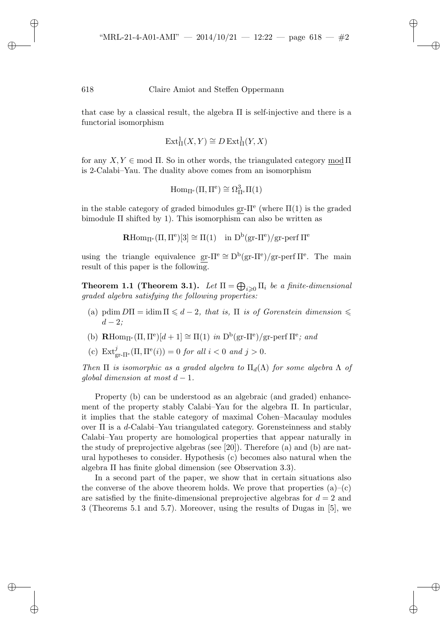✐

✐

✐

✐

that case by a classical result, the algebra  $\Pi$  is self-injective and there is a functorial isomorphism

$$
\operatorname{Ext}^1_{\Pi}(X,Y) \cong D\operatorname{Ext}^1_{\Pi}(Y,X)
$$

for any  $X, Y \in \text{mod } \Pi$ . So in other words, the triangulated category mod  $\Pi$ is 2-Calabi–Yau. The duality above comes from an isomorphism

$$
\operatorname{Hom}\nolimits_{\Pi^e}(\Pi,\Pi^e)\cong\Omega^3_{\Pi^e}\Pi(1)
$$

in the stable category of graded bimodules gr- $\Pi^e$  (where  $\Pi(1)$ ) is the graded bimodule  $\Pi$  shifted by 1). This isomorphism can also be written as

$$
\mathbf{R}\mathrm{Hom}_{\Pi^e}(\Pi,\Pi^e)[3]\cong\Pi(1)\quad\mathrm{in}\,\,D^b(\mathrm{gr}\text{-}\Pi^e)/\mathrm{gr}\text{-}\mathrm{perf}\,\Pi^e
$$

using the triangle equivalence gr- $\Pi^e \cong D^b(\text{gr-}\Pi^e)/\text{gr-}\text{perf}\Pi^e$ . The main result of this paper is the following.

**Theorem 1.1 (Theorem 3.1).** *Let*  $\Pi = \bigoplus_{i \geqslant 0} \Pi_i$  *be a finite-dimensional graded algebra satisfying the following properties:*

- (a) pdim  $D\Pi = \text{idim }\Pi \leqslant d-2$ , that is,  $\Pi$  is of Gorenstein dimension  $\leqslant$  $d - 2$ *;*
- (b) **R**Hom<sub>I<sup>I</sub></sup><sup>e</sup>( $\Pi$ ,  $\Pi$ <sup>e</sup>)[ $d+1$ ]  $\cong \Pi(1)$  *in*  $D^b$ (gr- $\Pi$ <sup>e</sup>)/gr-perf  $\Pi$ <sup>e</sup>; and</sub>
- (c)  $\text{Ext}_{\text{gr-}\Pi^e}^j(\Pi, \Pi^e(i)) = 0$  *for all*  $i < 0$  *and*  $j > 0$ *.*

*Then*  $\Pi$  *is isomorphic as a graded algebra to*  $\Pi_d(\Lambda)$  *for some algebra*  $\Lambda$  *of global dimension at most*  $d-1$ .

Property (b) can be understood as an algebraic (and graded) enhancement of the property stably Calabi–Yau for the algebra Π. In particular, it implies that the stable category of maximal Cohen–Macaulay modules over  $\Pi$  is a d-Calabi–Yau triangulated category. Gorensteinness and stably Calabi–Yau property are homological properties that appear naturally in the study of preprojective algebras (see [20]). Therefore (a) and (b) are natural hypotheses to consider. Hypothesis (c) becomes also natural when the algebra Π has finite global dimension (see Observation 3.3).

In a second part of the paper, we show that in certain situations also the converse of the above theorem holds. We prove that properties  $(a)$ – $(c)$ are satisfied by the finite-dimensional preprojective algebras for  $d = 2$  and 3 (Theorems 5.1 and 5.7). Moreover, using the results of Dugas in [5], we

✐

✐

✐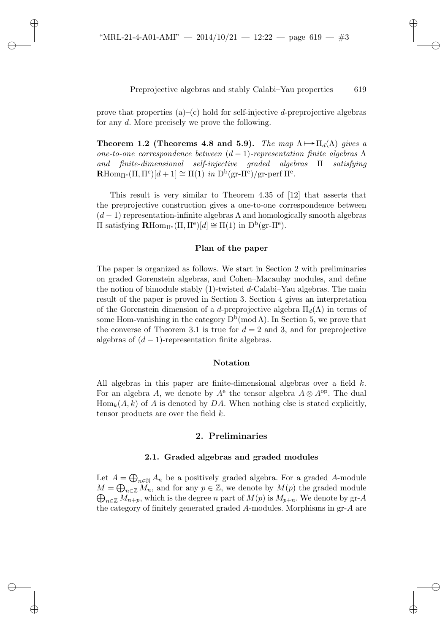✐

✐

✐

## Preprojective algebras and stably Calabi–Yau properties 619

✐

✐

✐

✐

prove that properties  $(a)$ – $(c)$  hold for self-injective *d*-preprojective algebras for any d. More precisely we prove the following.

**Theorem 1.2 (Theorems 4.8 and 5.9).** *The map*  $\Lambda \mapsto \Pi_d(\Lambda)$  *gives a one-to-one correspondence between* (d − 1)*-representation finite algebras* Λ *and finite-dimensional self-injective graded algebras* Π *satisfying*  $\mathbf{R}$ Hom<sub>Π<sup>e</sub></sup>( $\Pi$ ,  $\Pi^e$ )[ $d+1$ ]  $\cong$   $\Pi(1)$  *in*  $D^b$ (gr- $\Pi^e$ )/gr-perf  $\Pi^e$ .</sub>

This result is very similar to Theorem 4.35 of [12] that asserts that the preprojective construction gives a one-to-one correspondence between  $(d-1)$  representation-infinite algebras  $\Lambda$  and homologically smooth algebras  $\Pi$  satisfying **R**Hom<sub>Πe</sub>(Π, Π<sup>e</sup>)[d] ≅ Π(1) in D<sup>b</sup>(gr-Π<sup>e</sup>).

## **Plan of the paper**

The paper is organized as follows. We start in Section 2 with preliminaries on graded Gorenstein algebras, and Cohen–Macaulay modules, and define the notion of bimodule stably  $(1)$ -twisted d-Calabi–Yau algebras. The main result of the paper is proved in Section 3. Section 4 gives an interpretation of the Gorenstein dimension of a d-preprojective algebra  $\Pi_d(\Lambda)$  in terms of some Hom-vanishing in the category  $D^b(\text{mod }\Lambda)$ . In Section 5, we prove that the converse of Theorem 3.1 is true for  $d = 2$  and 3, and for preprojective algebras of  $(d-1)$ -representation finite algebras.

#### **Notation**

All algebras in this paper are finite-dimensional algebras over a field k. For an algebra A, we denote by  $A^e$  the tensor algebra  $A \otimes A^{op}$ . The dual  $\text{Hom}_k(A, k)$  of A is denoted by DA. When nothing else is stated explicitly, tensor products are over the field  $k$ .

## **2. Preliminaries**

#### **2.1. Graded algebras and graded modules**

Let  $A = \bigoplus_{n \in \mathbb{N}} A_n$  be a positively graded algebra. For a graded A-module  $M = \bigoplus_{n \in \mathbb{Z}} M_n$ , and for any  $p \in \mathbb{Z}$ , we denote by  $M(p)$  the graded module  $\bigoplus_{n\in\mathbb{Z}}M_{n+p}$ , which is the degree n part of  $M(p)$  is  $M_{p+n}$ . We denote by gr-A the category of finitely generated graded A-modules. Morphisms in gr-A are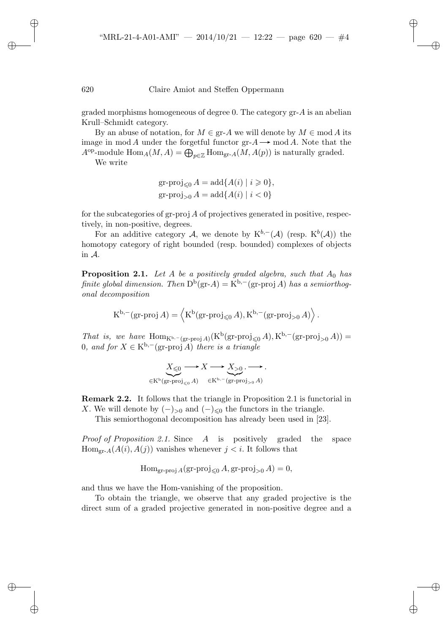✐

✐

✐

620 Claire Amiot and Steffen Oppermann

graded morphisms homogeneous of degree 0. The category gr-A is an abelian Krull–Schmidt category.

By an abuse of notation, for  $M \in \text{gr-}A$  we will denote by  $M \in \text{mod} A$  its image in mod A under the forgetful functor  $\mathrm{gr-}A \longrightarrow \mathrm{mod} A$ . Note that the  $A^{op}\text{-module Hom}_A(M, A) = \bigoplus_{p \in \mathbb{Z}} \text{Hom}_{\text{gr-}A}(M, A(p))$  is naturally graded.

We write

$$
\begin{aligned} \operatorname{gr-proj}_{\leq 0} A &= \operatorname{add} \{ A(i) \mid i \geq 0 \}, \\ \operatorname{gr-proj}_{>0} A &= \operatorname{add} \{ A(i) \mid i < 0 \} \end{aligned}
$$

for the subcategories of gr-proj  $A$  of projectives generated in positive, respectively, in non-positive, degrees.

For an additive category A, we denote by  $K^{b,-}(\mathcal{A})$  (resp.  $K^b(\mathcal{A})$ ) the homotopy category of right bounded (resp. bounded) complexes of objects in A.

**Proposition 2.1.** Let A be a positively graded algebra, such that  $A_0$  has *finite global dimension. Then*  $D^b$ (gr-A) = K<sup>b,–</sup>(gr-proj A) *has a semiorthogonal decomposition*

$$
K^{b,-}(\text{gr-proj }A) = \left\langle K^b(\text{gr-proj}_{\leq 0} A), K^{b,-}(\text{gr-proj}_{>0} A) \right\rangle.
$$

*That is, we have*  $\text{Hom}_{K^{b,-}(\text{gr-proj }A)}(K^b(\text{gr-proj}_{\leq 0}A), K^{b,-}(\text{gr-proj}_{> 0}A)) =$ 0*, and for*  $X \text{ ∈ } K^{b,-}(\text{gr-proj }A)$  *there is a triangle* 

$$
\underbrace{X_{\leqslant 0} \longrightarrow X \longrightarrow X_{\geqslant 0} \ldots}_{\in \mathcal{K}^{\mathbf{b}}(\mathbf{gr}\text{-}\mathrm{proj}_{\leqslant 0} A)} \xrightarrow{\qquad \qquad } X_{\geqslant 0} \ldots \longrightarrow.
$$

**Remark 2.2.** It follows that the triangle in Proposition 2.1 is functorial in X. We will denote by  $(-)_{\geq 0}$  and  $(-)_{\leq 0}$  the functors in the triangle.

This semiorthogonal decomposition has already been used in [23].

*Proof of Proposition 2.1.* Since A is positively graded the space  $\text{Hom}_{\text{gr-}A}(A(i), A(j))$  vanishes whenever  $j < i$ . It follows that

$$
\operatorname{Hom}_{\operatorname{gr-proj} A}(\operatorname{gr-proj}_{\leq 0} A, \operatorname{gr-proj}_{>0} A) = 0,
$$

and thus we have the Hom-vanishing of the proposition.

To obtain the triangle, we observe that any graded projective is the direct sum of a graded projective generated in non-positive degree and a

✐

✐

✐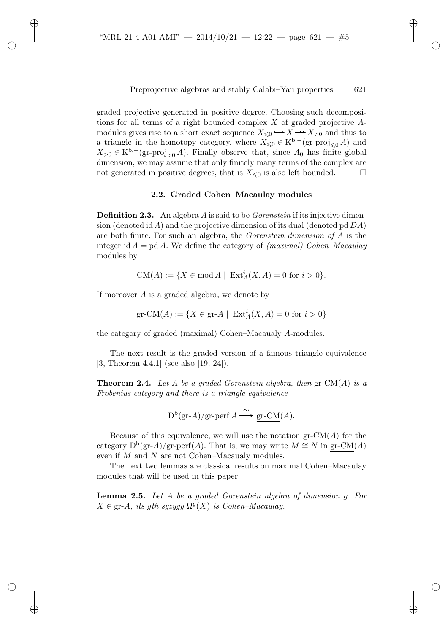✐

✐

✐

Preprojective algebras and stably Calabi–Yau properties 621

graded projective generated in positive degree. Choosing such decompositions for all terms of a right bounded complex  $X$  of graded projective  $A$ modules gives rise to a short exact sequence  $X_{\leq 0} \rightarrow X \rightarrow X_{>0}$  and thus to a triangle in the homotopy category, where  $X_{\leq 0} \in K^{b,-}(\text{gr-proj}_{\leq 0} A)$  and  $X_{>0} \in K^{b,-}(\text{gr-proj}_{>0}A)$ . Finally observe that, since  $A_0$  has finite global dimension, we may assume that only finitely many terms of the complex are not generated in positive degrees, that is  $X_{\leq 0}$  is also left bounded.  $\square$ 

## **2.2. Graded Cohen–Macaulay modules**

**Definition 2.3.** An algebra A is said to be *Gorenstein* if its injective dimension (denoted id A) and the projective dimension of its dual (denoted pd  $DA$ ) are both finite. For such an algebra, the *Gorenstein dimension of* A is the integer id A = pd A. We define the category of *(maximal) Cohen–Macaulay* modules by

$$
CM(A) := \{ X \in \text{mod } A \mid \ \text{Ext}^i_A(X, A) = 0 \ \text{for} \ i > 0 \}.
$$

If moreover  $A$  is a graded algebra, we denote by

$$
\operatorname{gr-CM}(A):=\{X\in \operatorname{gr-}A\mid \ \operatorname{Ext}_A^i(X,A)=0\ \text{for}\ i>0\}
$$

the category of graded (maximal) Cohen–Macaualy A-modules.

The next result is the graded version of a famous triangle equivalence [3, Theorem 4.4.1] (see also [19, 24]).

**Theorem 2.4.** *Let* A *be a graded Gorenstein algebra, then* gr-CM(A) *is a Frobenius category and there is a triangle equivalence*

 $D^{b}(gr-A)/gr\text{-perf } A \longrightarrow \text{gr-CM}(A).$ 

Because of this equivalence, we will use the notation  $gr\text{-}CM(A)$  for the category  $D^{b}(gr-A)/gr\text{-}perf(A)$ . That is, we may write  $M \cong N$  in gr-CM(A) even if M and N are not Cohen–Macaualy modules.

The next two lemmas are classical results on maximal Cohen–Macaulay modules that will be used in this paper.

**Lemma 2.5.** *Let* A *be a graded Gorenstein algebra of dimension* g*. For*  $X \in \text{gr-}A$ , *its qth syzyqy*  $\Omega^g(X)$  *is Cohen–Macaulay.* 

✐

✐

✐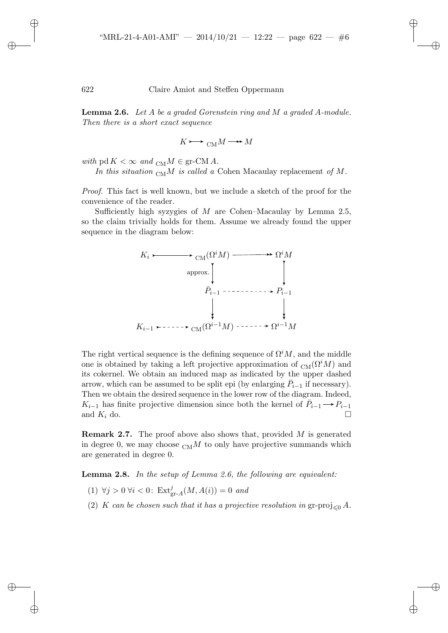**Lemma 2.6.** *Let* A *be a graded Gorenstein ring and* M *a graded* A*-module. Then there is a short exact sequence*

$$
K \mathrel{\mathop{\longrightarrow}\hspace{0.5em}}\nolimits_{\mathbf{CM}} M \mathbin{\longrightarrow\hspace{0.5em}} M
$$

*with* pd  $K < \infty$  and  $_{\text{CM}} M \in \text{gr-CM } A$ .

✐

✐

✐

✐

In this situation  $_{\text{CM}}M$  is called a Cohen Macaulay replacement of M.

*Proof.* This fact is well known, but we include a sketch of the proof for the convenience of the reader.

Sufficiently high syzygies of  $M$  are Cohen–Macaulay by Lemma 2.5, so the claim trivially holds for them. Assume we already found the upper sequence in the diagram below:



The right vertical sequence is the defining sequence of  $\Omega^i M$ , and the middle one is obtained by taking a left projective approximation of  $_{\text{CM}}(\Omega^i M)$  and its cokernel. We obtain an induced map as indicated by the upper dashed arrow, which can be assumed to be split epi (by enlarging  $\overline{P}_{i-1}$  if necessary). Then we obtain the desired sequence in the lower row of the diagram. Indeed,  $K_{i-1}$  has finite projective dimension since both the kernel of  $P_{i-1} \longrightarrow P_{i-1}$ <br>and  $K_i$  do and  $K_i$  do.

**Remark 2.7.** The proof above also shows that, provided M is generated in degree 0, we may choose  $_{\text{CM}}M$  to only have projective summands which are generated in degree 0.

**Lemma 2.8.** *In the setup of Lemma 2.6, the following are equivalent:*

- (1)  $\forall j > 0 \ \forall i < 0$ : Ext<sup>j</sup><sub>gr-A</sub>(M, A(i)) = 0 *and*
- (2) K can be chosen such that it has a projective resolution in  $\text{gr-proj}_{\leq 0} A$ .

✐

✐

✐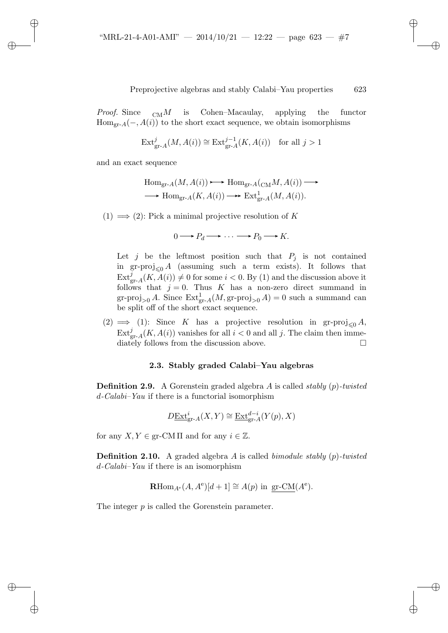*Proof.* Since  $_{\text{CM}}M$  is Cohen–Macaulay, applying the functor  $Hom<sub>gr-A</sub>(-, A(i))$  to the short exact sequence, we obtain isomorphisms

$$
\operatorname{Ext}_{\operatorname{gr-}A}^j(M,A(i)) \cong \operatorname{Ext}_{\operatorname{gr-}A}^{j-1}(K,A(i)) \quad \text{for all } j > 1
$$

and an exact sequence

✐

✐

✐

✐

$$
\text{Hom}_{\text{gr-}A}(M, A(i)) \longrightarrow \text{Hom}_{\text{gr-}A}(_{\text{CM}}M, A(i)) \longrightarrow
$$
  

$$
\longrightarrow \text{Hom}_{\text{gr-}A}(K, A(i)) \longrightarrow \text{Ext}^1_{\text{gr-}A}(M, A(i)).
$$

(1)  $\implies$  (2): Pick a minimal projective resolution of K

$$
0 \longrightarrow P_d \longrightarrow \cdots \longrightarrow P_0 \longrightarrow K.
$$

Let j be the leftmost position such that  $P_j$  is not contained in gr-proj<sub> $\leq 0$ </sub> A (assuming such a term exists). It follows that  $\text{Ext}_{\text{gr-}A}^j(K, \tilde{A}(i)) \neq 0$  for some  $i < 0$ . By (1) and the discussion above it follows that  $j = 0$ . Thus K has a non-zero direct summand in gr-proj<sub>>0</sub> A. Since  $\text{Ext}_{\text{gr-}A}^1(M,\text{gr-proj}_{>0} A) = 0$  such a summand can be split off of the short exact sequence.

(2)  $\implies$  (1): Since K has a projective resolution in gr-proj<sub> $\leq 0$ </sub> A,  $\text{Ext}_{\text{gr-}A}^j(K, A(i))$  vanishes for all  $i < 0$  and all j. The claim then immediately follows from the discussion above.

# **2.3. Stably graded Calabi–Yau algebras**

**Definition 2.9.** A Gorenstein graded algebra A is called *stably* (p)*-twisted* d*-Calabi–Yau* if there is a functorial isomorphism

$$
D\underline{\operatorname{Ext}}^i_{\operatorname{gr-}A}(X,Y)\cong \underline{\operatorname{Ext}}^{d-i}_{\operatorname{gr-}A}(Y(p),X)
$$

for any  $X, Y \in \text{gr-CM} \Pi$  and for any  $i \in \mathbb{Z}$ .

**Definition 2.10.** A graded algebra A is called *bimodule stably* (p)*-twisted* d*-Calabi–Yau* if there is an isomorphism

$$
\mathbf{R}\mathrm{Hom}_{A^e}(A, A^e)[d+1] \cong A(p) \text{ in gr-CM}(A^e).
$$

The integer p is called the Gorenstein parameter.

✐

✐

✐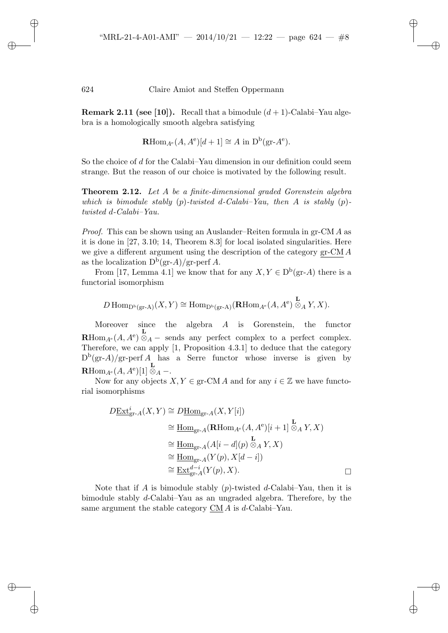✐

✐

✐

✐

**Remark 2.11 (see [10]).** Recall that a bimodule  $(d + 1)$ -Calabi–Yau algebra is a homologically smooth algebra satisfying

$$
\mathbf{R}\mathrm{Hom}_{A^e}(A, A^e)[d+1] \cong A \text{ in } \mathrm{D}^{\mathrm{b}}(\mathrm{gr}\text{-}A^e).
$$

So the choice of d for the Calabi–Yau dimension in our definition could seem strange. But the reason of our choice is motivated by the following result.

**Theorem 2.12.** *Let* A *be a finite-dimensional graded Gorenstein algebra which is bimodule stably* (p)*-twisted* d*-Calabi–Yau, then* A *is stably* (p) *twisted* d*-Calabi–Yau.*

*Proof.* This can be shown using an Auslander–Reiten formula in gr-CM A as it is done in [27, 3.10; 14, Theorem 8.3] for local isolated singularities. Here we give a different argument using the description of the category gr-CM A as the localization  $D^b(\text{gr-}A)/\text{gr-perf }A$ .

From [17, Lemma 4.1] we know that for any  $X, Y \in D^b(\text{gr-}A)$  there is a functorial isomorphism

$$
D\operatorname{Hom}\nolimits_{\mathbf{D}^{\rm b}(\operatorname{gr}\nolimits-A)}(X,Y)\cong \operatorname{Hom}\nolimits_{\mathbf{D}^{\rm b}(\operatorname{gr}\nolimits-A)}(\mathbf{R}\operatorname{Hom}\nolimits_{A^{\rm e}}(A,A^{\rm e})\stackrel{\mathbf{L}}{\otimes}_A Y,X).
$$

Moreover since the algebra A is Gorenstein, the functor **R**Hom<sub>A</sub><sup>e</sup>(*A*, *A*<sup>e</sup>)  $\overline{\otimes}_A$  – sends any perfect complex to a perfect complex. Therefore, we can apply [1, Proposition 4.3.1] to deduce that the category  $D^{b}(gr-A)/gr\text{-}perf A$  has a Serre functor whose inverse is given by  $\mathbf{R}\mathrm{Hom}_{A^\mathbf{e}}(A,A^\mathbf{e})[1]\overset{\mathbf{L}}{\otimes}_A-$ 

Now for any objects  $X, Y \in \text{gr-CM } A$  and for any  $i \in \mathbb{Z}$  we have functorial isomorphisms

$$
D\underline{\text{Ext}}_{\text{gr-}A}^{i}(X,Y) \cong D\underline{\text{Hom}}_{\text{gr-}A}(X,Y[i])
$$
  
\n
$$
\cong \underline{\text{Hom}}_{\text{gr-}A}(\mathbf{R}\text{Hom}_{A^e}(A,A^e)[i+1] \otimes_A Y, X)
$$
  
\n
$$
\cong \underline{\text{Hom}}_{\text{gr-}A}(A[i-d](p) \otimes_A Y, X)
$$
  
\n
$$
\cong \underline{\text{Hom}}_{\text{gr-}A}(Y(p), X[d-i])
$$
  
\n
$$
\cong \underline{\text{Ext}}_{\text{gr-}A}^{d-i}(Y(p), X).
$$

Note that if A is bimodule stably  $(p)$ -twisted d-Calabi–Yau, then it is bimodule stably d-Calabi–Yau as an ungraded algebra. Therefore, by the same argument the stable category CM A is d-Calabi–Yau.

✐

✐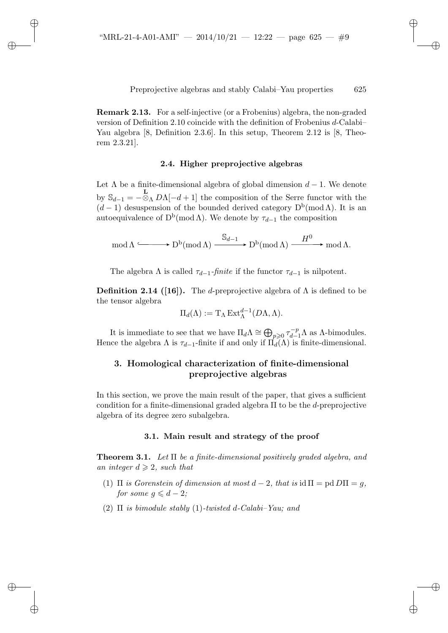✐

✐

✐

Preprojective algebras and stably Calabi–Yau properties 625

✐

✐

✐

✐

**Remark 2.13.** For a self-injective (or a Frobenius) algebra, the non-graded version of Definition 2.10 coincide with the definition of Frobenius d-Calabi– Yau algebra [8, Definition 2.3.6]. In this setup, Theorem 2.12 is [8, Theorem 2.3.21].

## **2.4. Higher preprojective algebras**

Let  $\Lambda$  be a finite-dimensional algebra of global dimension  $d-1$ . We denote by  $\mathbb{S}_{d-1} = -\mathbb{S}_{\Lambda} D\Lambda[-d+1]$  the composition of the Serre functor with the  $(d-1)$  desuspension of the bounded derived category  $D^{b}(\text{mod }\Lambda)$ . It is an autoequivalence of  $D^b(\text{mod }\Lambda)$ . We denote by  $\tau_{d-1}$  the composition

$$
\operatorname{mod} \Lambda \xrightarrow{\hspace{0.5cm} \operatorname{S}_{d-1}} \operatorname{D^b}(\operatorname{mod} \Lambda) \xrightarrow{\hspace{0.5cm} \operatorname{S}_{d-1}} \operatorname{D^b}(\operatorname{mod} \Lambda) \xrightarrow{\hspace{0.5cm} H^0} \operatorname{mod} \Lambda.
$$

The algebra  $\Lambda$  is called  $\tau_{d-1}$ -*finite* if the functor  $\tau_{d-1}$  is nilpotent.

**Definition 2.14 ([16]).** The d-preprojective algebra of  $\Lambda$  is defined to be the tensor algebra

$$
\Pi_d(\Lambda) := \mathrm{T}_{\Lambda} \operatorname{Ext}_{\Lambda}^{d-1}(D\Lambda, \Lambda).
$$

It is immediate to see that we have  $\Pi_d \Lambda \cong \bigoplus_{p\geqslant 0} \tau_{d-1}^{-p} \Lambda$  as  $\Lambda$ -bimodules. Hence the algebra  $\Lambda$  is  $\tau_{d-1}$ -finite if and only if  $\Pi_d(\Lambda)$  is finite-dimensional.

# **3. Homological characterization of finite-dimensional preprojective algebras**

In this section, we prove the main result of the paper, that gives a sufficient condition for a finite-dimensional graded algebra  $\Pi$  to be the *d*-preprojective algebra of its degree zero subalgebra.

## **3.1. Main result and strategy of the proof**

**Theorem 3.1.** *Let* Π *be a finite-dimensional positively graded algebra, and an integer*  $d \geqslant 2$ *, such that* 

- (1)  $\Pi$  *is Gorenstein of dimension at most*  $d 2$ *, that is*  $\text{id} \Pi = \text{pd} D\Pi = q$ *, for some*  $g \leqslant d - 2$ *;*
- (2) Π *is bimodule stably* (1)*-twisted* d*-Calabi–Yau; and*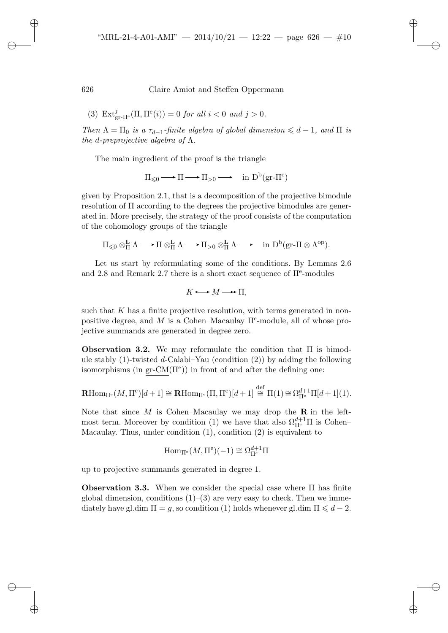✐

✐

✐

626 Claire Amiot and Steffen Oppermann

(3) 
$$
\text{Ext}_{\text{gr-}\Pi^e}^j(\Pi, \Pi^e(i)) = 0 \text{ for all } i < 0 \text{ and } j > 0.
$$

*Then*  $\Lambda = \Pi_0$  *is a*  $\tau_{d-1}$ *-finite algebra of global dimension*  $\leq d-1$ *, and*  $\Pi$  *is the* d*-preprojective algebra of* Λ*.*

The main ingredient of the proof is the triangle

$$
\Pi_{\leqslant 0} \longrightarrow \Pi \longrightarrow \Pi_{>0} \longrightarrow \quad \mathrm{in} \; \mathrm{D}^{\mathrm{b}}(\mathrm{gr}\text{-}\Pi^{\mathrm{e}})
$$

given by Proposition 2.1, that is a decomposition of the projective bimodule resolution of Π according to the degrees the projective bimodules are generated in. More precisely, the strategy of the proof consists of the computation of the cohomology groups of the triangle

$$
\Pi_{\leqslant 0}\otimes^{\mathbf{L}}_{\Pi}\Lambda\longrightarrow\Pi\otimes^{\mathbf{L}}_{\Pi}\Lambda\longrightarrow\Pi_{>0}\otimes^{\mathbf{L}}_{\Pi}\Lambda\longrightarrow\quad\mathrm{in}\,\,\mathrm{D}^{\mathrm{b}}(\mathrm{gr}\text{-}\Pi\otimes\Lambda^{\mathrm{op}}).
$$

Let us start by reformulating some of the conditions. By Lemmas 2.6 and 2.8 and Remark 2.7 there is a short exact sequence of  $\Pi^e$ -modules

$$
K \rightarrow M \rightarrow \Pi,
$$

such that  $K$  has a finite projective resolution, with terms generated in nonpositive degree, and M is a Cohen–Macaulay  $\Pi^e$ -module, all of whose projective summands are generated in degree zero.

**Observation 3.2.** We may reformulate the condition that Π is bimodule stably  $(1)$ -twisted d-Calabi–Yau (condition  $(2)$ ) by adding the following isomorphisms (in gr- $CM(\Pi^e)$ ) in front of and after the defining one:

$$
\mathbf{R}\mathrm{Hom}_{\Pi^e}(M,\Pi^e)[d+1] \cong \mathbf{R}\mathrm{Hom}_{\Pi^e}(\Pi,\Pi^e)[d+1] \stackrel{\text{def}}{\cong} \Pi(1) \cong \Omega_{\Pi^e}^{d+1}\Pi[d+1](1).
$$

Note that since M is Cohen–Macaulay we may drop the **R** in the leftmost term. Moreover by condition (1) we have that also  $\Omega_{\Pi^e}^{d+1}\Pi$  is Cohen– Macaulay. Thus, under condition  $(1)$ , condition  $(2)$  is equivalent to

$$
\operatorname{Hom}\nolimits_{\Pi^e}(M,\Pi^e)(-1) \cong \Omega_{\Pi^e}^{d+1}\Pi
$$

up to projective summands generated in degree 1.

**Observation 3.3.** When we consider the special case where Π has finite global dimension, conditions  $(1)$ – $(3)$  are very easy to check. Then we immediately have gl.dim  $\Pi = g$ , so condition (1) holds whenever gl.dim  $\Pi \leq d - 2$ .

✐

✐

✐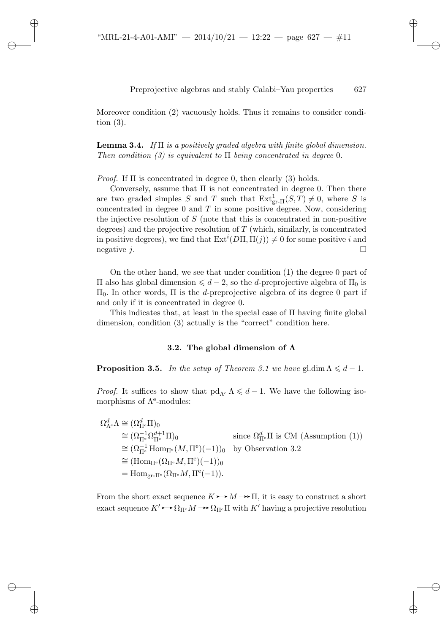✐

✐

✐

# Preprojective algebras and stably Calabi–Yau properties 627

✐

✐

✐

✐

Moreover condition (2) vacuously holds. Thus it remains to consider condition (3).

**Lemma 3.4.** *If* Π *is a positively graded algebra with finite global dimension. Then condition (3) is equivalent to* Π *being concentrated in degree* 0*.*

*Proof.* If Π is concentrated in degree 0, then clearly (3) holds.

Conversely, assume that  $\Pi$  is not concentrated in degree 0. Then there are two graded simples S and T such that  $Ext_{gr-II}^1(S,T) \neq 0$ , where S is concentrated in degree  $0$  and  $T$  in some positive degree. Now, considering the injective resolution of  $S$  (note that this is concentrated in non-positive degrees) and the projective resolution of  $T$  (which, similarly, is concentrated in positive degrees), we find that  $\mathrm{Ext}^i(D\Pi, \Pi(j)) \neq 0$  for some positive i and negative j.

On the other hand, we see that under condition (1) the degree 0 part of  $\Pi$  also has global dimension  $\le d-2$ , so the *d*-preprojective algebra of  $\Pi$ <sub>0</sub> is  $\Pi$ <sub>0</sub>. In other words,  $\Pi$  is the *d*-preprojective algebra of its degree 0 part if and only if it is concentrated in degree 0.

This indicates that, at least in the special case of Π having finite global dimension, condition (3) actually is the "correct" condition here.

## **3.2. The global dimension of Λ**

**Proposition 3.5.** *In the setup of Theorem 3.1 we have* gl.dim  $\Lambda \leq d - 1$ *.* 

*Proof.* It suffices to show that  $\text{pd}_{\Lambda^e} \Lambda \leq d - 1$ . We have the following isomorphisms of  $\Lambda^e$ -modules:

 $\Omega^d_{\Lambda^{\rm e}}\Lambda \cong (\Omega^d_{\Pi^{\rm e}}\Pi)_0$  $\cong (\Omega_{\Pi^e}^{-1} \Omega_{\Pi^e}^{d+1} \Pi)_0$  since  $\Omega_{\Pi^e}^d \Pi$  is CM (Assumption (1))  $\cong (\Omega_{\Pi^e}^{-1} \text{Hom}_{\Pi^e}(M, \Pi^e)(-1))_0$  by Observation 3.2  $\cong (\mathrm{Hom}_{\Pi^e}(\Omega_{\Pi^e}M,\Pi^e)(-1))_0$ =  $\text{Hom}_{\text{gr-}\Pi^e}(\Omega_{\Pi^e}M, \Pi^e(-1)).$ 

From the short exact sequence  $K \rightarrow M \rightarrow \Pi$ , it is easy to construct a short exact sequence  $K' \rightarrow \Omega_{\Pi^e} M \rightarrow \Omega_{\Pi^e} \Pi$  with  $K'$  having a projective resolution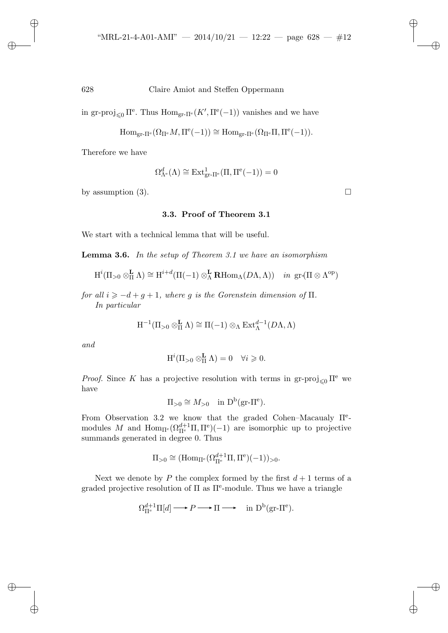in gr-proj<sub> $\leq 0$ </sub>  $\Pi^e$ . Thus  $\text{Hom}_{gr-\Pi^e}(K', \Pi^e(-1))$  vanishes and we have

$$
\mathrm{Hom}_{\mathrm{gr}\text{-}\Pi^{\mathrm{e}}}(\Omega_{\Pi^{\mathrm{e}}}M,\Pi^{\mathrm{e}}(-1))\cong \mathrm{Hom}_{\mathrm{gr}\text{-}\Pi^{\mathrm{e}}}(\Omega_{\Pi^{\mathrm{e}}}\Pi,\Pi^{\mathrm{e}}(-1)).
$$

Therefore we have

✐

✐

✐

✐

$$
\Omega_{\Lambda^e}^d(\Lambda) \cong \operatorname{Ext}^1_{\operatorname{gr-}\Pi^e}(\Pi,\Pi^e(-1)) = 0
$$

by assumption (3).  $\Box$ 

## **3.3. Proof of Theorem 3.1**

We start with a technical lemma that will be useful.

**Lemma 3.6.** *In the setup of Theorem 3.1 we have an isomorphism*

$$
H^i(\Pi_{>0}\otimes_{\Pi}^{\mathbf{L}}\Lambda)\cong H^{i+d}(\Pi(-1)\otimes_{\Lambda}^{\mathbf{L}}\mathbf{R}\mathrm{Hom}_{\Lambda}(D\Lambda,\Lambda))\quad\text{in }\mathrm{gr}(\Pi\otimes\Lambda^{\mathrm{op}})
$$

*for all*  $i \ge -d + g + 1$ *, where g is the Gorenstein dimension of*  $\Pi$ *. In particular*

$$
\mathrm{H}^{-1}(\Pi_{>0}\otimes^{\mathbf{L}}_{\Pi}\Lambda)\cong\Pi(-1)\otimes_{\Lambda}\mathrm{Ext}^{d-1}_{\Lambda}(D\Lambda,\Lambda)
$$

*and*

$$
H^{i}(\Pi_{>0} \otimes_{\Pi}^{\mathbf{L}} \Lambda) = 0 \quad \forall i \geq 0.
$$

*Proof.* Since K has a projective resolution with terms in  $\text{gr-proj}_{\leq 0} \Pi^e$  we have

$$
\Pi_{>0} \cong M_{>0} \quad \text{in } D^{\mathrm{b}}(\mathbf{gr}\text{-}\Pi^{\mathrm{e}}).
$$

From Observation 3.2 we know that the graded Cohen–Macaualy Πemodules M and  $\text{Hom}_{\Pi^e}(\Omega_{\Pi^e}^{d+1}\Pi,\Pi^e)(-1)$  are isomorphic up to projective summands generated in degree 0. Thus

$$
\Pi_{>0} \cong (\mathrm{Hom}_{\Pi^e}(\Omega_{\Pi^e}^{d+1}\Pi,\Pi^e)(-1))_{>0}.
$$

Next we denote by P the complex formed by the first  $d+1$  terms of a graded projective resolution of  $\Pi$  as  $\Pi^e$ -module. Thus we have a triangle

$$
\Omega_{\Pi^e}^{d+1} \Pi[d] \longrightarrow P \longrightarrow \Pi \longrightarrow \text{ in } \mathcal{D}^b(\text{gr-}\Pi^e).
$$

✐

✐

✐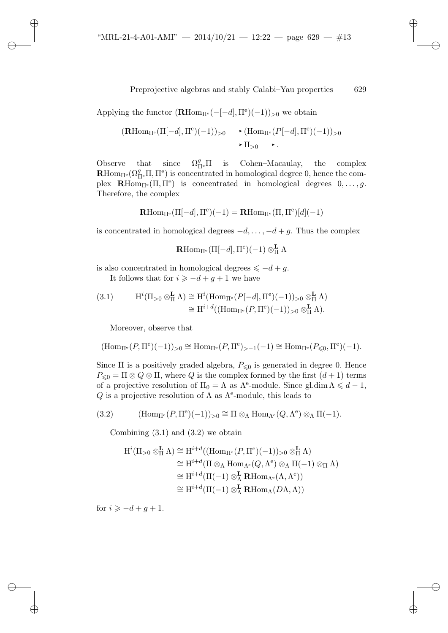✐

✐

✐

✐

Applying the functor  $(\mathbf{R} \text{Hom}_{\Pi^e}(-[-d], \Pi^e)(-1))_{>0}$  we obtain

$$
(\mathbf{R}\mathrm{Hom}_{\Pi^e}(\Pi[-d], \Pi^e)(-1))_{>0} \longrightarrow (\mathrm{Hom}_{\Pi^e}(P[-d], \Pi^e)(-1))_{>0}
$$
  

$$
\longrightarrow \Pi_{>0} \longrightarrow.
$$

Observe that since  $\Omega_{\Pi^e}^g \Pi$  is Cohen–Macaulay, the complex  $\mathbf{R}$ Hom<sub>Π<sup>e</sub></sup>( $\Omega_{\Pi^e}^g$ Π, Π<sup>e</sup>) is concentrated in homological degree 0, hence the com-</sub> plex **R**Hom<sub>II<sup>e</sub></sup>( $\Pi$ ,  $\Pi$ <sup>e</sup>) is concentrated in homological degrees  $0, \ldots, g$ .</sub> Therefore, the complex

 $\mathbf{R}$ Hom<sub>Π</sub>e (Π[-d], Π<sup>e</sup>)(-1) =  $\mathbf{R}$ Hom<sub>Π</sub>e (Π, Π<sup>e</sup>)[d](-1)

is concentrated in homological degrees  $-d, \ldots, -d+g$ . Thus the complex

 $\mathbf{R}\text{Hom}_{\Pi^{\text{e}}}(\Pi[-d],\Pi^{\text{e}})(-1)\otimes^{\mathbf{L}}_{\Pi}\Lambda$ 

is also concentrated in homological degrees  $\leq -d + g$ .

It follows that for  $i \geq -d+g+1$  we have

(3.1) 
$$
H^{i}(\Pi_{>0} \otimes_{\Pi}^{\mathbf{L}} \Lambda) \cong H^{i}(\text{Hom}_{\Pi^{e}}(P[-d], \Pi^{e})(-1))_{>0} \otimes_{\Pi}^{\mathbf{L}} \Lambda)
$$

$$
\cong H^{i+d}((\text{Hom}_{\Pi^{e}}(P, \Pi^{e})(-1))_{>0} \otimes_{\Pi}^{\mathbf{L}} \Lambda).
$$

Moreover, observe that

✐

✐

✐

✐

$$
(\mathrm{Hom}_{\Pi^e}(P,\Pi^e)(-1))_{>0}\cong \mathrm{Hom}_{\Pi^e}(P,\Pi^e)_{>-1}(-1)\cong \mathrm{Hom}_{\Pi^e}(P_{\leqslant 0},\Pi^e)(-1).
$$

Since  $\Pi$  is a positively graded algebra,  $P_{\leq 0}$  is generated in degree 0. Hence  $P_{\leq 0} = \Pi \otimes Q \otimes \Pi$ , where Q is the complex formed by the first  $(d+1)$  terms of a projective resolution of  $\Pi_0 = \Lambda$  as  $\Lambda^e$ -module. Since gl.dim  $\Lambda \leq d - 1$ , Q is a projective resolution of  $\Lambda$  as  $\Lambda^e$ -module, this leads to

(3.2) 
$$
(\text{Hom}_{\Pi^e}(P,\Pi^e)(-1))_{>0} \cong \Pi \otimes_{\Lambda} \text{Hom}_{\Lambda^e}(Q,\Lambda^e) \otimes_{\Lambda} \Pi(-1).
$$

Combining  $(3.1)$  and  $(3.2)$  we obtain

$$
H^{i}(\Pi_{>0}\otimes_{\Pi}^{\mathbf{L}}\Lambda) \cong H^{i+d}((\text{Hom}_{\Pi^{e}}(P,\Pi^{e})(-1))_{>0}\otimes_{\Pi}^{\mathbf{L}}\Lambda)
$$
  
\n
$$
\cong H^{i+d}(\Pi\otimes_{\Lambda}\text{Hom}_{\Lambda^{e}}(Q,\Lambda^{e})\otimes_{\Lambda}\Pi(-1)\otimes_{\Pi}\Lambda)
$$
  
\n
$$
\cong H^{i+d}(\Pi(-1)\otimes_{\Lambda}^{\mathbf{L}}\mathbf{R}\text{Hom}_{\Lambda^{e}}(\Lambda,\Lambda^{e}))
$$
  
\n
$$
\cong H^{i+d}(\Pi(-1)\otimes_{\Lambda}^{\mathbf{L}}\mathbf{R}\text{Hom}_{\Lambda}(D\Lambda,\Lambda))
$$

for  $i \geq -d + q + 1$ .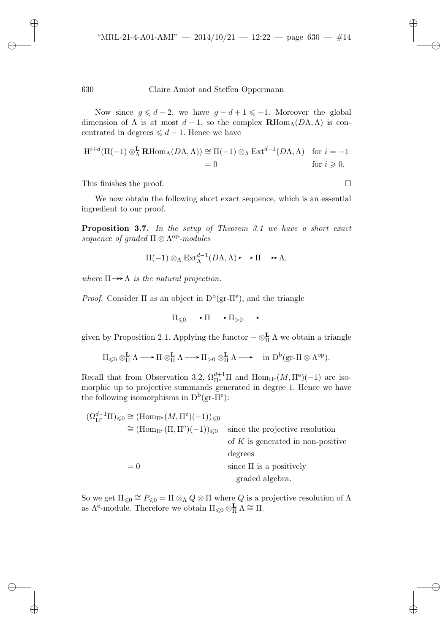Now since  $g \leq d-2$ , we have  $g-d+1 \leq -1$ . Moreover the global dimension of  $\Lambda$  is at most  $d-1$ , so the complex  $\mathbf{R}\text{Hom}_{\Lambda}(D\Lambda,\Lambda)$  is concentrated in degrees  $\leq d - 1$ . Hence we have

$$
H^{i+d}(\Pi(-1)\otimes_{\Lambda}^{\mathbf{L}}\mathbf{R}\text{Hom}_{\Lambda}(D\Lambda,\Lambda)) \cong \Pi(-1)\otimes_{\Lambda}\text{Ext}^{d-1}(D\Lambda,\Lambda) \text{ for } i=-1
$$
  
= 0 for  $i \geq 0$ .

This finishes the proof.

✐

✐

✐

✐

We now obtain the following short exact sequence, which is an essential ingredient to our proof.

**Proposition 3.7.** *In the setup of Theorem 3.1 we have a short exact sequence of graded*  $\Pi \otimes \Lambda^{op}\text{-modules}$ 

$$
\Pi(-1) \otimes_{\Lambda} \operatorname{Ext}_{\Lambda}^{d-1}(D\Lambda, \Lambda) \longrightarrow \Pi \longrightarrow \Lambda,
$$

*where*  $\Pi \rightarrow \Lambda$  *is the natural projection.* 

*Proof.* Consider  $\Pi$  as an object in  $D^b(\text{gr-}\Pi^e)$ , and the triangle

$$
\Pi_{\leq 0} \longrightarrow \Pi \longrightarrow \Pi_{>0} \longrightarrow
$$

given by Proposition 2.1. Applying the functor  $-\otimes_{\Pi}^{\mathbf{L}} \Lambda$  we obtain a triangle

$$
\Pi_{\leqslant 0}\otimes^{\mathbf{L}}_{\Pi}\Lambda\longrightarrow\Pi\otimes^{\mathbf{L}}_{\Pi}\Lambda\longrightarrow\Pi_{>0}\otimes^{\mathbf{L}}_{\Pi}\Lambda\longrightarrow\quad\mathrm{in}\,\,\mathrm{D}^{\mathrm{b}}(\mathrm{gr}\text{-}\Pi\otimes\Lambda^{\mathrm{op}}).
$$

Recall that from Observation 3.2,  $\Omega_{\Pi^e}^{d+1}\Pi$  and  $\text{Hom}_{\Pi^e}(M,\Pi^e)(-1)$  are isomorphic up to projective summands generated in degree 1. Hence we have the following isomorphisms in  $D^b(gr-\Pi^e)$ :

| $(\Omega_{\Pi^e}^{d+1} \Pi)_{\leq 0} \cong (\text{Hom}_{\Pi^e}(M, \Pi^e)(-1))_{\leq 0}$ |                                     |
|-----------------------------------------------------------------------------------------|-------------------------------------|
| $\cong$ $(\text{Hom}_{\Pi^e}(\Pi, \Pi^e)(-1))_{\leq 0}$                                 | since the projective resolution     |
|                                                                                         | of $K$ is generated in non-positive |
|                                                                                         | degrees                             |
| $= 0$                                                                                   | since $\Pi$ is a positively         |
|                                                                                         | graded algebra.                     |

So we get  $\Pi_{\leq 0} \cong P_{\leq 0} = \Pi \otimes_{\Lambda} Q \otimes \Pi$  where Q is a projective resolution of  $\Lambda$ as  $\Lambda^e$ -module. Therefore we obtain  $\Pi_{\leq 0} \otimes_H^{\mathbf{L}} \Lambda \cong \Pi$ .

✐

✐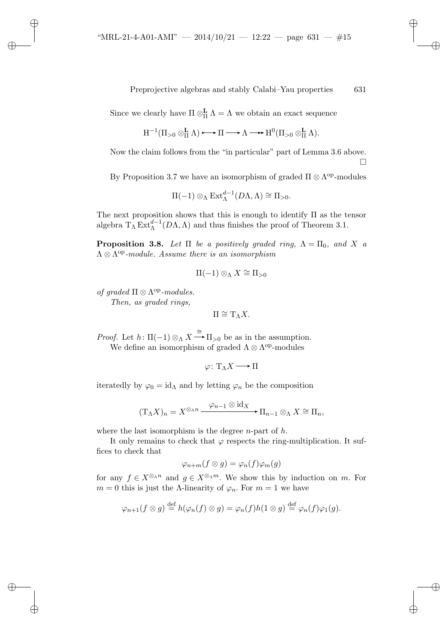Since we clearly have  $\Pi \otimes_{\Pi}^{\mathbf{L}} \Lambda = \Lambda$  we obtain an exact sequence

$$
H^{-1}(\Pi_{>0}\otimes_{\Pi}^{\mathbf{L}}\Lambda)\longrightarrow\Pi\longrightarrow\Lambda\longrightarrow H^{0}(\Pi_{>0}\otimes_{\Pi}^{\mathbf{L}}\Lambda).
$$

Now the claim follows from the "in particular" part of Lemma 3.6 above.

 $\Box$ 

✐

✐

✐

✐

By Proposition 3.7 we have an isomorphism of graded  $\Pi \otimes \Lambda^{op}$ -modules

$$
\Pi(-1) \otimes_{\Lambda} \operatorname{Ext}_{\Lambda}^{d-1}(D\Lambda, \Lambda) \cong \Pi_{>0}.
$$

The next proposition shows that this is enough to identify  $\Pi$  as the tensor algebra  $T_{\Lambda} \operatorname{Ext}_{\Lambda}^{d-1}(D\Lambda, \Lambda)$  and thus finishes the proof of Theorem 3.1.

**Proposition 3.8.** *Let*  $\Pi$  *be a positively graded ring,*  $\Lambda = \Pi_0$ *, and* X *a*  $\Lambda \otimes \Lambda^{op}\text{-}module.$  Assume there is an isomorphism

$$
\Pi(-1)\otimes_{\Lambda} X \cong \Pi_{>0}
$$

*of graded*  $\Pi \otimes \Lambda^{op}\text{-modules.}$ 

✐

✐

✐

✐

*Then, as graded rings,*

 $\Pi \cong T_\Lambda X$ .

*Proof.* Let  $h: \Pi(-1) \otimes_{\Lambda} X \stackrel{\cong}{\longrightarrow} \Pi_{>0}$  be as in the assumption. We define an isomorphism of graded  $\Lambda \otimes \Lambda^{op}$ -modules

$$
\varphi\colon \mathrm{T}_{\Lambda}X\longrightarrow \Pi
$$

iteratedly by  $\varphi_0 = id_\Lambda$  and by letting  $\varphi_n$  be the composition

$$
(\mathrm{T}_{\Lambda}X)_n=X^{\otimes_{\Lambda}n}\xrightarrow{\varphi_{n-1}\otimes \mathrm{id}_X}\Pi_{n-1}\otimes_{\Lambda}X\cong\Pi_n,
$$

where the last isomorphism is the degree  $n$ -part of  $h$ .

It only remains to check that  $\varphi$  respects the ring-multiplication. It suffices to check that

$$
\varphi_{n+m}(f\otimes g)=\varphi_n(f)\varphi_m(g)
$$

for any  $f \in X^{\otimes_{\Lambda} n}$  and  $g \in X^{\otimes_{\Lambda} m}$ . We show this by induction on m. For  $m = 0$  this is just the Λ-linearity of  $\varphi_n$ . For  $m = 1$  we have

$$
\varphi_{n+1}(f\otimes g)\stackrel{\text{def}}{=} h(\varphi_n(f)\otimes g)=\varphi_n(f)h(1\otimes g)\stackrel{\text{def}}{=}\varphi_n(f)\varphi_1(g).
$$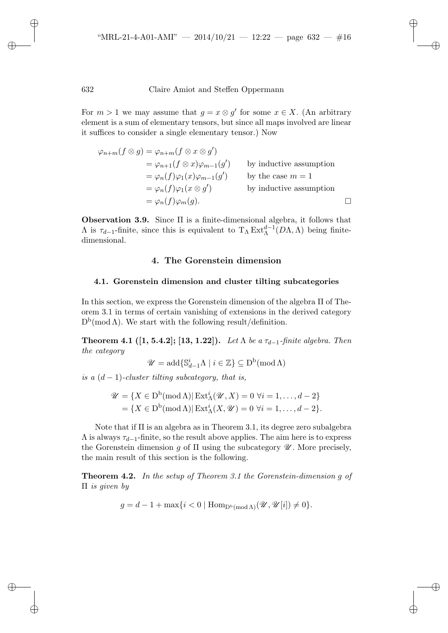✐

✐

✐

✐

For  $m > 1$  we may assume that  $q = x \otimes q'$  for some  $x \in X$ . (An arbitrary element is a sum of elementary tensors, but since all maps involved are linear it suffices to consider a single elementary tensor.) Now

$$
\varphi_{n+m}(f \otimes g) = \varphi_{n+m}(f \otimes x \otimes g')
$$
  
\n
$$
= \varphi_{n+1}(f \otimes x)\varphi_{m-1}(g')
$$
 by inductive assumption  
\n
$$
= \varphi_n(f)\varphi_1(x)\varphi_{m-1}(g')
$$
 by the case  $m = 1$   
\n
$$
= \varphi_n(f)\varphi_1(x \otimes g')
$$
 by inductive assumption  
\n
$$
= \varphi_n(f)\varphi_m(g).
$$

**Observation 3.9.** Since Π is a finite-dimensional algebra, it follows that  $\Lambda$  is  $\tau_{d-1}$ -finite, since this is equivalent to  $T_{\Lambda} Ext_{\Lambda}^{d-1}(D\Lambda,\Lambda)$  being finitedimensional.

# **4. The Gorenstein dimension**

## **4.1. Gorenstein dimension and cluster tilting subcategories**

In this section, we express the Gorenstein dimension of the algebra Π of Theorem 3.1 in terms of certain vanishing of extensions in the derived category  $D^{b}(\text{mod }\Lambda)$ . We start with the following result/definition.

**Theorem 4.1 ([1, 5.4.2]; [13, 1.22]).** *Let*  $\Lambda$  *be a*  $\tau_{d-1}$ *-finite algebra. Then the category*

$$
\mathscr{U} = \mathrm{add}\{\mathbb{S}_{d-1}^i \Lambda \mid i \in \mathbb{Z}\} \subseteq \mathrm{D}^{\mathrm{b}}(\mathrm{mod}\,\Lambda)
$$

*is a*  $(d-1)$ *-cluster tilting subcategory, that is,* 

$$
\mathscr{U} = \{ X \in \mathcal{D}^{\mathbf{b}}(\text{mod }\Lambda) | \operatorname{Ext}_{\Lambda}^{i}(\mathscr{U}, X) = 0 \,\forall i = 1, \dots, d - 2 \}
$$

$$
= \{ X \in \mathcal{D}^{\mathbf{b}}(\text{mod }\Lambda) | \operatorname{Ext}_{\Lambda}^{i}(X, \mathscr{U}) = 0 \,\forall i = 1, \dots, d - 2 \}.
$$

Note that if  $\Pi$  is an algebra as in Theorem 3.1, its degree zero subalgebra  $\Lambda$  is always  $\tau_{d-1}$ -finite, so the result above applies. The aim here is to express the Gorenstein dimension g of  $\Pi$  using the subcategory  $\mathscr U$ . More precisely, the main result of this section is the following.

**Theorem 4.2.** *In the setup of Theorem 3.1 the Gorenstein-dimension* g *of* Π *is given by*

 $g = d - 1 + \max\{i < 0 \mid \text{Hom}_{\mathbb{D}^b(\text{mod }\Lambda)}(\mathcal{U}, \mathcal{U}[i]) \neq 0\}.$ 

✐

✐

✐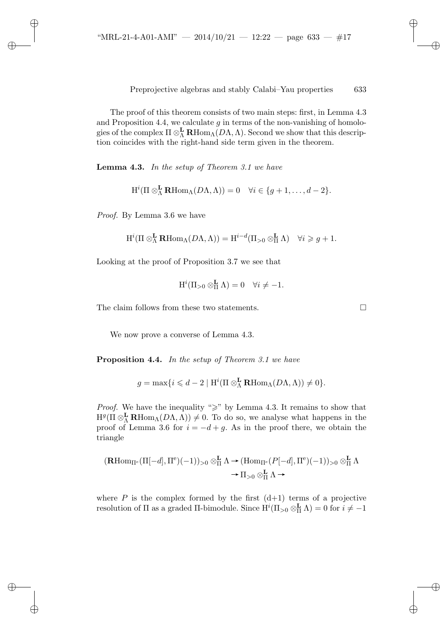The proof of this theorem consists of two main steps: first, in Lemma 4.3 and Proposition 4.4, we calculate  $g$  in terms of the non-vanishing of homologies of the complex  $\Pi \otimes_{\Lambda}^{\mathbf{L}} \mathbf{R}$ Hom<sub>Λ</sub>( $D\Lambda, \Lambda$ ). Second we show that this description coincides with the right-hand side term given in the theorem.

**Lemma 4.3.** *In the setup of Theorem 3.1 we have*

$$
H^{i}(\Pi \otimes_{\Lambda}^{\mathbf{L}} \mathbf{R} \text{Hom}_{\Lambda}(D\Lambda, \Lambda)) = 0 \quad \forall i \in \{g+1, \ldots, d-2\}.
$$

*Proof.* By Lemma 3.6 we have

✐

✐

✐

✐

$$
H^i(\Pi \otimes^{\mathbf{L}}_{\Lambda} \mathbf{R} \text{Hom}_{\Lambda}(D\Lambda, \Lambda)) = H^{i-d}(\Pi_{>0} \otimes^{\mathbf{L}}_{\Pi} \Lambda) \quad \forall i \geq g+1.
$$

Looking at the proof of Proposition 3.7 we see that

$$
H^i(\Pi_{>0}\otimes_{\Pi}^{\mathbf{L}}\Lambda)=0 \quad \forall i\neq -1.
$$

The claim follows from these two statements.

We now prove a converse of Lemma 4.3.

**Proposition 4.4.** *In the setup of Theorem 3.1 we have*

$$
g = \max\{i \leq d - 2 \mid \mathrm{H}^i(\Pi \otimes_{\Lambda}^{\mathbf{L}} \mathbf{R} \mathrm{Hom}_{\Lambda}(D\Lambda, \Lambda)) \neq 0\}.
$$

*Proof.* We have the inequality " $\geq$ " by Lemma 4.3. It remains to show that  $H^g(\Pi \otimes_{\Lambda}^{\mathbf{L}} \mathbf{R} \text{Hom}_{\Lambda}(D\Lambda,\Lambda)) \neq 0$ . To do so, we analyse what happens in the proof of Lemma 3.6 for  $i = -d + g$ . As in the proof there, we obtain the triangle

$$
(\mathbf{R}\mathrm{Hom}_{\Pi^e}(\Pi[-d], \Pi^e)(-1))_{>0} \otimes_{\Pi}^{\mathbf{L}} \Lambda \to (\mathrm{Hom}_{\Pi^e}(P[-d], \Pi^e)(-1))_{>0} \otimes_{\Pi}^{\mathbf{L}} \Lambda
$$

$$
\to \Pi_{>0} \otimes_{\Pi}^{\mathbf{L}} \Lambda \to
$$

where  $P$  is the complex formed by the first  $(d+1)$  terms of a projective resolution of  $\Pi$  as a graded  $\Pi$ -bimodule. Since  $H^i(\Pi_{>0} \otimes_H^{\mathbf{L}} \Lambda) = 0$  for  $i \neq -1$ 

✐

✐

✐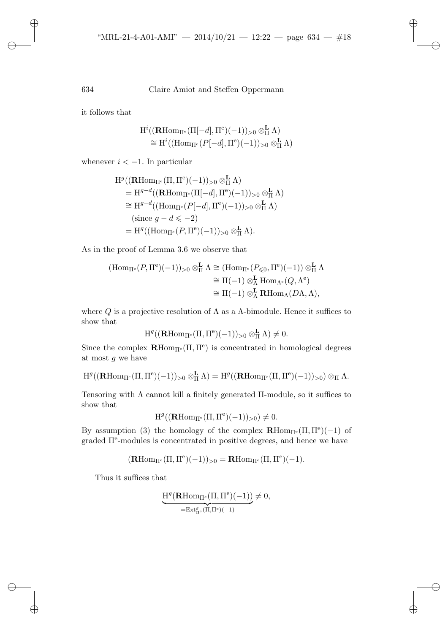✐

✐

✐

634 Claire Amiot and Steffen Oppermann

it follows that

$$
H^{i}((\mathbf{R}\mathrm{Hom}_{\Pi^{e}}(\Pi[-d],\Pi^{e})(-1))_{>0}\otimes_{\Pi}^{\mathbf{L}}\Lambda) \cong H^{i}((\mathrm{Hom}_{\Pi^{e}}(P[-d],\Pi^{e})(-1))_{>0}\otimes_{\Pi}^{\mathbf{L}}\Lambda)
$$

whenever  $i < -1$ . In particular

$$
H^g((\mathbf{R}\mathrm{Hom}_{\Pi^e}(\Pi, \Pi^e)(-1))_{>0} \otimes_H^{\mathbf{L}} \Lambda)
$$
  
=  $H^{g-d}((\mathbf{R}\mathrm{Hom}_{\Pi^e}(\Pi[-d], \Pi^e)(-1))_{>0} \otimes_H^{\mathbf{L}} \Lambda)$   
 $\cong H^{g-d}((\mathrm{Hom}_{\Pi^e}(P[-d], \Pi^e)(-1))_{>0} \otimes_H^{\mathbf{L}} \Lambda)$   
(since  $g - d \leq -2$ )  
=  $H^g((\mathrm{Hom}_{\Pi^e}(P, \Pi^e)(-1))_{>0} \otimes_H^{\mathbf{L}} \Lambda).$ 

As in the proof of Lemma 3.6 we observe that

$$
\begin{aligned} (\mathrm{Hom}_{\Pi^e}(P, \Pi^e)(-1))_{>0} \otimes^{\mathbf{L}}_{\Pi} \Lambda &\cong (\mathrm{Hom}_{\Pi^e}(P_{\leqslant 0}, \Pi^e)(-1)) \otimes^{\mathbf{L}}_{\Pi} \Lambda \\ &\cong \Pi(-1) \otimes^{\mathbf{L}}_{\Lambda} \mathrm{Hom}_{\Lambda^e}(Q, \Lambda^e) \\ &\cong \Pi(-1) \otimes^{\mathbf{L}}_{\Lambda} \mathbf{R} \mathrm{Hom}_{\Lambda}(D\Lambda, \Lambda), \end{aligned}
$$

where  $Q$  is a projective resolution of  $\Lambda$  as a  $\Lambda$ -bimodule. Hence it suffices to show that

$$
H^g((\mathbf{R}\mathrm{Hom}_{\Pi^e}(\Pi,\Pi^e)(-1))_{>0}\otimes^{\mathbf{L}}_{\Pi}\Lambda)\neq 0.
$$

Since the complex  $\mathbf{R}$ Hom<sub>II</sub><sup>e</sup>( $\Pi$ , II<sup>e</sup>) is concentrated in homological degrees at most  $g$  we have

$$
\mathrm{H}^g((\mathrm{\mathbf{R}Hom}_{\Pi^e}(\Pi,\Pi^e)(-1))_{>0}\otimes^{\mathbf{L}}_{\Pi}\Lambda)=\mathrm{H}^g((\mathrm{\mathbf{R}Hom}_{\Pi^e}(\Pi,\Pi^e)(-1))_{>0})\otimes_{\Pi}\Lambda.
$$

Tensoring with  $\Lambda$  cannot kill a finitely generated  $\Pi$ -module, so it suffices to show that

$$
H^g((\mathbf{R}\mathrm{Hom}_{\Pi^e}(\Pi,\Pi^e)(-1))_{>0})\neq 0.
$$

By assumption (3) the homology of the complex  $\mathbf{R}$ Hom<sub>II</sub><sup>e</sup> ( $\Pi$ ,  $\Pi$ <sup>e</sup>)(-1) of graded  $\Pi^e$ -modules is concentrated in positive degrees, and hence we have

$$
(\mathbf{R}\mathrm{Hom}_{\Pi^e}(\Pi,\Pi^e)(-1))_{>0}=\mathbf{R}\mathrm{Hom}_{\Pi^e}(\Pi,\Pi^e)(-1).
$$

Thus it suffices that

$$
\underbrace{H^g({\bf R}{\rm Hom}_{\Pi^e}(\Pi,\Pi^e)(-1))}_{={\rm Ext}^g_{\Pi^e}(\Pi,\Pi^e)(-1)}\neq 0,
$$

✐

✐

✐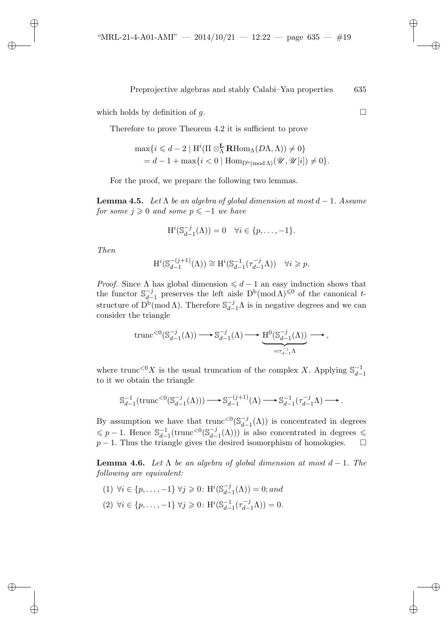which holds by definition of  $g$ .

Therefore to prove Theorem 4.2 it is sufficient to prove

$$
\max\{i \leq d-2 \mid \mathrm{H}^i(\Pi \otimes_{\Lambda}^{\mathbf{L}} \mathbf{R} \mathrm{Hom}_{\Lambda}(D\Lambda, \Lambda)) \neq 0\}
$$
  
=  $d-1 + \max\{i < 0 \mid \mathrm{Hom}_{\mathrm{D}^{\mathrm{b}}(\mathrm{mod}\Lambda)}(\mathcal{U}, \mathcal{U}[i]) \neq 0\}.$ 

For the proof, we prepare the following two lemmas.

**Lemma 4.5.** *Let*  $\Lambda$  *be an algebra of global dimension at most*  $d - 1$ *. Assume*  $for some j \geqslant 0 and some p \leqslant -1 we have$ 

$$
\mathrm{H}^i(\mathbb{S}_{d-1}^{-j}(\Lambda))=0 \quad \forall i \in \{p,\ldots,-1\}.
$$

*Then*

✐

✐

✐

✐

$$
H^{i}(\mathbb{S}_{d-1}^{-(j+1)}(\Lambda)) \cong H^{i}(\mathbb{S}_{d-1}^{-1}(\tau_{d-1}^{-j}\Lambda)) \quad \forall i \geq p.
$$

*Proof.* Since  $\Lambda$  has global dimension  $\leq d - 1$  an easy induction shows that the functor  $S_{d-1}^{-j}$  preserves the left aisle  $D^b(\text{mod }\Lambda)^{\leq 0}$  of the canonical tstructure of  $D^b(\text{mod }\Lambda)$ . Therefore  $\mathbb{S}_{d-1}^{-j}\Lambda$  is in negative degrees and we can consider the triangle

$$
\mathrm{trunc}^{<0}(\mathbb{S}_{d-1}^{-j}(\Lambda)) \longrightarrow \mathbb{S}_{d-1}^{-j}(\Lambda) \longrightarrow \underbrace{\mathrm{H}^0(\mathbb{S}_{d-1}^{-j}(\Lambda))}_{=\tau_{d-1}^{-j}\Lambda} \longrightarrow,
$$

where trunc<sup> $0X$ </sup> is the usual truncation of the complex X. Applying  $\mathbb{S}_{d-1}^{-1}$ to it we obtain the triangle

$$
\mathbb{S}_{d-1}^{-1}(\mathrm{trunc}^{<0}(\mathbb{S}_{d-1}^{-j}(\Lambda))) \longrightarrow \mathbb{S}_{d-1}^{-(j+1)}(\Lambda) \longrightarrow \mathbb{S}_{d-1}^{-1}(\tau_{d-1}^{-j}\Lambda) \longrightarrow.
$$

By assumption we have that  $\text{trunc}^{<0}(\mathbb{S}_{d-1}^{-j}(\Lambda))$  is concentrated in degrees  $\leq p-1$ . Hence  $\mathbb{S}_{d-1}^{-1}(\text{trunc}^{<0}(\mathbb{S}_{d-1}^{-j}(\Lambda)))$  is also concentrated in degrees  $\leq$  $p-1$ . Thus the triangle gives the desired isomorphism of homologies.  $\square$ 

**Lemma 4.6.** *Let*  $\Lambda$  *be an algebra of global dimension at most*  $d-1$ *. The following are equivalent:*

- (1) ∀*i* ∈ {*p*,..., −1} ∀*j* ≥ 0: H<sup>*i*</sup>(\$ $_{d-1}^{-j}$ ( $\Lambda$ )) = 0; and
- (2)  $\forall i \in \{p, \ldots, -1\} \ \forall j \geq 0 \colon \mathrm{H}^i(\mathbb{S}_{d-1}^{-1}(\tau_{d-1}^{-j}\Lambda)) = 0.$

✐

✐

✐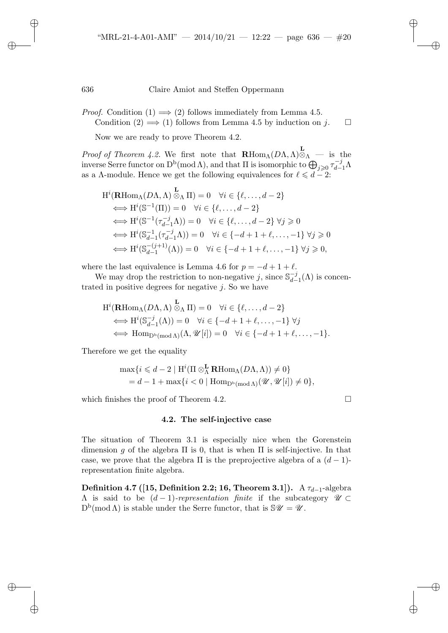*Proof.* Condition  $(1) \implies (2)$  follows immediately from Lemma 4.5. Condition  $(2) \implies (1)$  follows from Lemma 4.5 by induction on j.

Now we are ready to prove Theorem 4.2.

*Proof of Theorem 4.2.* We first note that  $\mathbf{R} \text{Hom}_{\Lambda}(D\Lambda, \Lambda) \otimes_{\Lambda} \mathbf{L}$  is the inverse Serre functor on  $D^b(\text{mod }\Lambda)$ , and that  $\Pi$  is isomorphic to  $\bigoplus_{j\geqslant 0} \tau_{d-1}^{-j}\Lambda$ as a  $\Lambda$ -module. Hence we get the following equivalences for  $\ell \leq d - 2$ :

$$
H^{i}(\mathbf{R}\mathrm{Hom}_{\Lambda}(D\Lambda,\Lambda) \overset{\mathbf{L}}{\otimes}_{\Lambda} \Pi) = 0 \quad \forall i \in \{\ell, \dots, d-2\}
$$
  
\n
$$
\iff H^{i}(\mathbb{S}^{-1}(\Pi)) = 0 \quad \forall i \in \{\ell, \dots, d-2\}
$$
  
\n
$$
\iff H^{i}(\mathbb{S}^{-1}(\tau_{d-1}^{-j}\Lambda)) = 0 \quad \forall i \in \{\ell, \dots, d-2\} \forall j \geq 0
$$
  
\n
$$
\iff H^{i}(\mathbb{S}_{d-1}^{-1}(\tau_{d-1}^{-j}\Lambda)) = 0 \quad \forall i \in \{-d+1+\ell, \dots, -1\} \forall j \geq 0
$$
  
\n
$$
\iff H^{i}(\mathbb{S}_{d-1}^{-(j+1)}(\Lambda)) = 0 \quad \forall i \in \{-d+1+\ell, \dots, -1\} \forall j \geq 0,
$$

where the last equivalence is Lemma 4.6 for  $p = -d + 1 + \ell$ .

We may drop the restriction to non-negative j, since  $\mathbb{S}_{d-1}^{-j}(\Lambda)$  is concentrated in positive degrees for negative  $j$ . So we have

$$
H^{i}(\mathbf{R}\mathrm{Hom}_{\Lambda}(D\Lambda, \Lambda) \overset{\mathbf{L}}{\otimes}_{\Lambda} \Pi) = 0 \quad \forall i \in \{\ell, \dots, d-2\}
$$
  
\n
$$
\iff H^{i}(\mathbb{S}_{d-1}^{-j}(\Lambda)) = 0 \quad \forall i \in \{-d+1+\ell, \dots, -1\} \ \forall j
$$
  
\n
$$
\iff \mathrm{Hom}_{\mathrm{D}^{b}(\mathrm{mod}\Lambda)}(\Lambda, \mathcal{U}[i]) = 0 \quad \forall i \in \{-d+1+\ell, \dots, -1\}.
$$

Therefore we get the equality

$$
\begin{aligned} \max \{i \leq d-2 \mid \mathrm{H}^i(\Pi \otimes_{\Lambda}^{\mathbf{L}} \mathbf{R} \mathrm{Hom}_{\Lambda}(D\Lambda, \Lambda)) \neq 0 \} \\ = d-1 + \max \{i < 0 \mid \mathrm{Hom}_{\mathrm{D^b}( \mathrm{mod} \Lambda)}(\mathscr{U}, \mathscr{U}[i]) \neq 0 \}, \end{aligned}
$$

which finishes the proof of Theorem 4.2.  $\Box$ 

✐

✐

✐

✐

## **4.2. The self-injective case**

The situation of Theorem 3.1 is especially nice when the Gorenstein dimension g of the algebra  $\Pi$  is 0, that is when  $\Pi$  is self-injective. In that case, we prove that the algebra  $\Pi$  is the preprojective algebra of a  $(d-1)$ representation finite algebra.

**Definition 4.7 ([15, Definition 2.2; 16, Theorem 3.1]).** A  $\tau_{d-1}$ -algebra Λ is said to be (d − 1)*-representation finite* if the subcategory *U* ⊂  $D^{b}(\text{mod }\Lambda)$  is stable under the Serre functor, that is  $\mathcal{S}\mathcal{U}=\mathcal{U}$ .

✐

✐

✐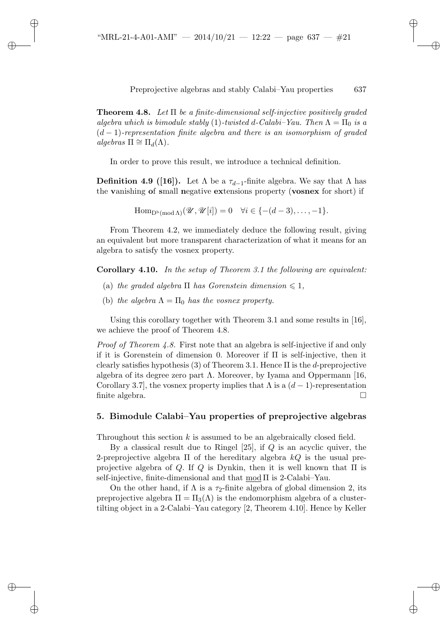✐

✐

✐

Preprojective algebras and stably Calabi–Yau properties 637

**Theorem 4.8.** *Let* Π *be a finite-dimensional self-injective positively graded algebra which is bimodule stably* (1)*-twisted* d-Calabi–Yau. Then  $\Lambda = \Pi_0$  *is a* (d − 1)*-representation finite algebra and there is an isomorphism of graded*  $algebras \Pi \cong \Pi_d(\Lambda)$ .

In order to prove this result, we introduce a technical definition.

**Definition 4.9 ([16]).** Let  $\Lambda$  be a  $\tau_{d-1}$ -finite algebra. We say that  $\Lambda$  has the **v**anishing **o**f **s**mall **n**egative **ex**tensions property (**vosnex** for short) if

 $\text{Hom}_{\mathbb{D}^b(\text{mod }\Lambda)}(\mathscr{U},\mathscr{U}[i])=0 \quad \forall i \in \{- (d-3), \ldots, -1\}.$ 

From Theorem 4.2, we immediately deduce the following result, giving an equivalent but more transparent characterization of what it means for an algebra to satisfy the vosnex property.

**Corollary 4.10.** *In the setup of Theorem 3.1 the following are equivalent:*

- (a) *the graded algebra*  $\Pi$  *has Gorenstein dimension*  $\leq 1$ *,*
- (b) *the algebra*  $\Lambda = \Pi_0$  *has the vosnex property.*

Using this corollary together with Theorem 3.1 and some results in [16], we achieve the proof of Theorem 4.8.

*Proof of Theorem 4.8.* First note that an algebra is self-injective if and only if it is Gorenstein of dimension 0. Moreover if Π is self-injective, then it clearly satisfies hypothesis (3) of Theorem 3.1. Hence  $\Pi$  is the *d*-preprojective algebra of its degree zero part  $\Lambda$ . Moreover, by Ivama and Oppermann [16, Corollary 3.7, the vosnex property implies that  $\Lambda$  is a  $(d-1)$ -representation finite algebra.

# **5. Bimodule Calabi–Yau properties of preprojective algebras**

Throughout this section k is assumed to be an algebraically closed field.

By a classical result due to Ringel  $[25]$ , if  $Q$  is an acyclic quiver, the 2-preprojective algebra  $\Pi$  of the hereditary algebra kQ is the usual preprojective algebra of Q. If Q is Dynkin, then it is well known that  $\Pi$  is self-injective, finite-dimensional and that mod Π is 2-Calabi–Yau.

On the other hand, if  $\Lambda$  is a  $\tau_2$ -finite algebra of global dimension 2, its preprojective algebra  $\Pi = \Pi_3(\Lambda)$  is the endomorphism algebra of a clustertilting object in a 2-Calabi–Yau category [2, Theorem 4.10]. Hence by Keller

✐

✐

✐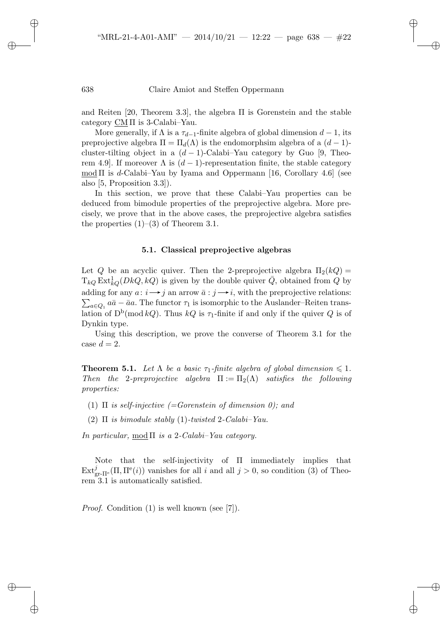✐

✐

✐

# 638 Claire Amiot and Steffen Oppermann

and Reiten [20, Theorem 3.3], the algebra Π is Gorenstein and the stable category CM  $\Pi$  is 3-Calabi–Yau.

More generally, if  $\Lambda$  is a  $\tau_{d-1}$ -finite algebra of global dimension  $d-1$ , its preprojective algebra  $\Pi = \Pi_d(\Lambda)$  is the endomorphsim algebra of a  $(d-1)$ cluster-tilting object in a  $(d-1)$ -Calabi–Yau category by Guo [9, Theorem 4.9]. If moreover  $\Lambda$  is  $(d-1)$ -representation finite, the stable category  $\text{mod }\Pi$  is d-Calabi–Yau by Iyama and Oppermann [16, Corollary 4.6] (see also [5, Proposition 3.3]).

In this section, we prove that these Calabi–Yau properties can be deduced from bimodule properties of the preprojective algebra. More precisely, we prove that in the above cases, the preprojective algebra satisfies the properties  $(1)$ – $(3)$  of Theorem 3.1.

## **5.1. Classical preprojective algebras**

Let Q be an acyclic quiver. Then the 2-preprojective algebra  $\Pi_2(kQ)$  =  $T_{kQ} \text{Ext}^1_{kQ}(DkQ, kQ)$  is given by the double quiver  $\overline{Q}$ , obtained from  $Q$  by adding for any  $a: i \rightarrow j$  an arrow  $\bar{a}: j \rightarrow i$ , with the preprojective relations:  $\sum_{a\in Q_1} a\bar{a} - \bar{a}a$ . The functor  $\tau_1$  is isomorphic to the Auslander–Reiten translation of  $D^b(\text{mod }kQ)$ . Thus  $kQ$  is  $\tau_1$ -finite if and only if the quiver Q is of Dynkin type.

Using this description, we prove the converse of Theorem 3.1 for the case  $d=2$ .

**Theorem 5.1.** Let  $\Lambda$  be a basic  $\tau_1$ -finite algebra of global dimension  $\leq 1$ . *Then the* 2*-preprojective algebra*  $\Pi := \Pi_2(\Lambda)$  *satisfies the following properties:*

- (1) Π *is self-injective (=Gorenstein of dimension 0); and*
- (2) Π *is bimodule stably* (1)*-twisted* 2*-Calabi–Yau.*

*In particular,* mod Π *is a* 2*-Calabi–Yau category.*

Note that the self-injectivity of Π immediately implies that  $\text{Ext}_{\text{gr-}\Pi^e}^j(\Pi, \Pi^e(i))$  vanishes for all i and all  $j > 0$ , so condition (3) of Theorem 3.1 is automatically satisfied.

*Proof.* Condition (1) is well known (see [7]).

✐

 $\rightarrow$ 

✐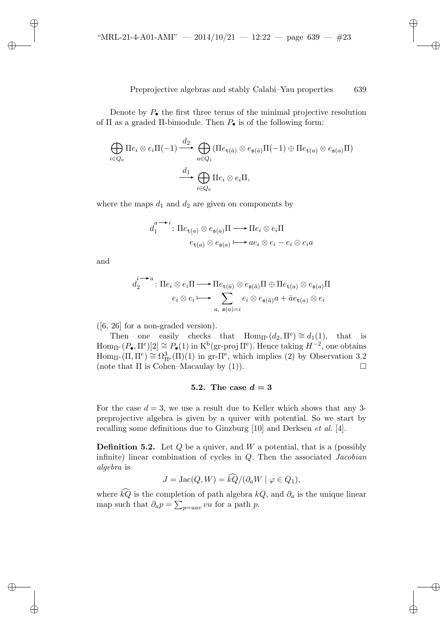✐

✐

✐

✐

Denote by  $P_{\bullet}$  the first three terms of the minimal projective resolution of  $\Pi$  as a graded  $\Pi$ -bimodule. Then  $P_{\bullet}$  is of the following form:

$$
\bigoplus_{i \in Q_0} \Pi e_i \otimes e_i \Pi (-1) \xrightarrow{d_2} \bigoplus_{a \in Q_1} (\Pi e_{\mathbf{t}(\bar{a})} \otimes e_{\mathbf{s}(\bar{a})} \Pi (-1) \oplus \Pi e_{\mathbf{t}(a)} \otimes e_{\mathbf{s}(a)} \Pi)
$$

$$
\xrightarrow{d_1} \bigoplus_{i \in Q_0} \Pi e_i \otimes e_i \Pi,
$$

where the maps  $d_1$  and  $d_2$  are given on components by

$$
d_1^{a \longrightarrow i} : \Pi e_{\mathsf{t}(a)} \otimes e_{\mathsf{s}(a)} \Pi \longrightarrow \Pi e_i \otimes e_i \Pi
$$

$$
e_{\mathsf{t}(a)} \otimes e_{\mathsf{s}(a)} \longmapsto a e_i \otimes e_i - e_i \otimes e_i a
$$

and

✐

 $\rightarrow$ 

✐

✐

$$
d_2^{i \longrightarrow a} : \Pi e_i \otimes e_i \Pi \longrightarrow \Pi e_{\mathtt{t}(\bar{a})} \otimes e_{\mathtt{s}(\bar{a})} \Pi \oplus \Pi e_{\mathtt{t}(a)} \otimes e_{\mathtt{s}(a)} \Pi
$$

$$
e_i \otimes e_i \longmapsto \sum_{a, \ \mathtt{s}(a)=i} e_i \otimes e_{\mathtt{s}(\bar{a})} a + \bar{a} e_{\mathtt{t}(a)} \otimes e_i
$$

([6, 26] for a non-graded version).

Then one easily checks that Hom<sub>II<sup>e</sub></sup> $(d_2, \Pi^e) \cong d_1(1)$ , that is</sub>  $\text{Hom}_{\Pi^e}(P_{\bullet}, \Pi^e)[2] \cong P_{\bullet}(1)$  in  $\text{K}^b(\text{gr-proj }\Pi^e)$ . Hence taking  $H^{-2}$ , one obtains  $\text{Hom}_{\Pi^e}(\Pi, \Pi^e) \cong \Omega^3_{\Pi^e}(\Pi)(1)$  in gr- $\Pi^e$ , which implies (2) by Observation 3.2 (note that  $\Pi$  is Cohen–Macaulay by (1)).

# **5.2.** The case  $d = 3$

For the case  $d = 3$ , we use a result due to Keller which shows that any 3preprojective algebra is given by a quiver with potential. So we start by recalling some definitions due to Ginzburg [10] and Derksen *et al.* [4].

**Definition 5.2.** Let  $Q$  be a quiver, and  $W$  a potential, that is a (possibly infinite) linear combination of cycles in Q. Then the associated *Jacobian algebra* is

$$
J = \text{Jac}(Q, W) = kQ/(\partial_a W \mid \varphi \in Q_1),
$$

where  $\hat{k}\hat{Q}$  is the completion of path algebra  $kQ$ , and  $\partial_a$  is the unique linear map such that  $\partial_a p = \sum_{p=uav} vu$  for a path p.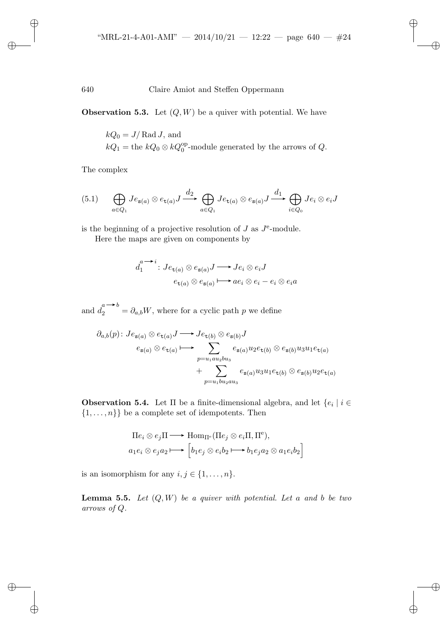✐

✐

✐

# 640 Claire Amiot and Steffen Oppermann

**Observation 5.3.** Let  $(Q, W)$  be a quiver with potential. We have

$$
kQ_0 = J/\text{Rad }J
$$
, and  
 $kQ_1 = \text{the } kQ_0 \otimes kQ_0^{\text{op}}$ -module generated by the arrows of  $Q$ .

The complex

✐

 $\rightarrow$ 

✐

✐

$$
(5.1) \qquad \bigoplus_{a \in Q_1} J e_{\mathbf{s}(a)} \otimes e_{\mathbf{t}(a)} J \xrightarrow{d_2} \bigoplus_{a \in Q_1} J e_{\mathbf{t}(a)} \otimes e_{\mathbf{s}(a)} J \xrightarrow{d_1} \bigoplus_{i \in Q_0} J e_i \otimes e_i J
$$

is the beginning of a projective resolution of  $J$  as  $J^e$ -module.

Here the maps are given on components by

$$
d_1^{a \longrightarrow i}: Je_{\mathsf{t}(a)} \otimes e_{\mathsf{s}(a)} J \longrightarrow Je_i \otimes e_i J
$$

$$
e_{\mathsf{t}(a)} \otimes e_{\mathsf{s}(a)} \longmapsto ae_i \otimes e_i - e_i \otimes e_i a
$$

and  $d_2^{a \longrightarrow b} = \partial_{a,b}W$ , where for a cyclic path p we define

$$
\partial_{a,b}(p): J e_{s(a)} \otimes e_{t(a)} J \longrightarrow J e_{t(b)} \otimes e_{s(b)} J
$$
  
\n
$$
e_{s(a)} \otimes e_{t(a)} \longmapsto \sum_{p=u_1au_2bu_3} e_{s(a)} u_2 e_{t(b)} \otimes e_{s(b)} u_3 u_1 e_{t(a)}
$$
  
\n
$$
+ \sum_{p=u_1bu_2au_3} e_{s(a)} u_3 u_1 e_{t(b)} \otimes e_{s(b)} u_2 e_{t(a)}
$$

**Observation 5.4.** Let  $\Pi$  be a finite-dimensional algebra, and let  $\{e_i \mid i \in \Pi\}$  $\{1,\ldots,n\}\}$  be a complete set of idempotents. Then

$$
\Pi e_i \otimes e_j \Pi \longrightarrow \text{Hom}_{\Pi^e}(\Pi e_j \otimes e_i \Pi, \Pi^e),
$$
  

$$
a_1 e_i \otimes e_j a_2 \longmapsto \left[b_1 e_j \otimes e_i b_2 \longmapsto b_1 e_j a_2 \otimes a_1 e_i b_2\right]
$$

is an isomorphism for any  $i,j\in\{1,\ldots,n\}.$ 

**Lemma 5.5.** *Let* (Q, W) *be a quiver with potential. Let* a *and* b *be two arrows of* Q*.*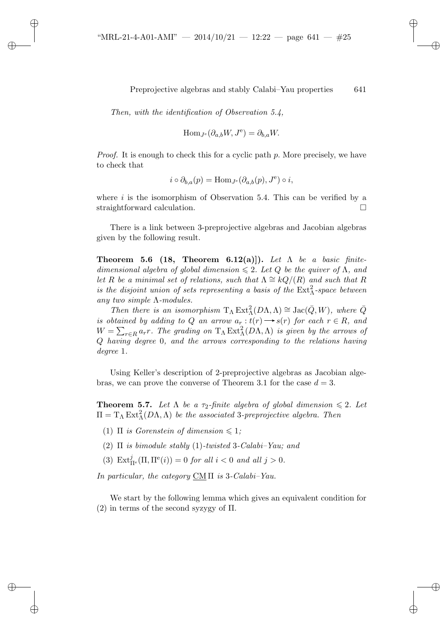✐

✐

✐

✐

*Then, with the identification of Observation 5.4,*

✐

 $\rightarrow$ 

✐

✐

$$
\operatorname{Hom}_{J^e}(\partial_{a,b}W, J^e) = \partial_{b,a}W.
$$

*Proof.* It is enough to check this for a cyclic path p. More precisely, we have to check that

$$
i \circ \partial_{b,a}(p) = \text{Hom}_{J^e}(\partial_{a,b}(p), J^e) \circ i,
$$

where  $i$  is the isomorphism of Observation 5.4. This can be verified by a straightforward calculation.

There is a link between 3-preprojective algebras and Jacobian algebras given by the following result.

**Theorem 5.6 (18, Theorem 6.12(a)]).** *Let* Λ *be a basic finitedimensional algebra of global dimension*  $\leq 2$ . Let Q be the quiver of  $\Lambda$ , and *let* R *be a minimal set of relations, such that*  $\Lambda \cong kQ/(R)$  *and such that* R *is the disjoint union of sets representing a basis of the*  $Ext_{\Lambda}^2$ -space between *any two simple* Λ*-modules.*

*Then there is an isomorphism*  $T_{\Lambda} Ext^2_{\Lambda}(D\Lambda, \Lambda) \cong Jac(\bar{Q}, W)$ *, where*  $\bar{Q}$ *is obtained by adding to Q an arrow*  $a_r : t(r) \longrightarrow s(r)$  *for each*  $r \in R$ *, and*  $W = \sum_{r \in R} a_r r$ . The grading on  $T_{\Lambda} \operatorname{Ext}^2_{\Lambda}(D\Lambda, \Lambda)$  is given by the arrows of Q *having degree* 0*, and the arrows corresponding to the relations having degree* 1*.*

Using Keller's description of 2-preprojective algebras as Jacobian algebras, we can prove the converse of Theorem 3.1 for the case  $d = 3$ .

**Theorem 5.7.** Let  $\Lambda$  be a  $\tau_2$ -finite algebra of global dimension  $\leq 2$ . Let  $\Pi = T_{\Lambda} \text{Ext}^2_{\Lambda}(D\Lambda, \Lambda)$  *be the associated* 3*-preprojective algebra. Then* 

- (1)  $\Pi$  *is Gorenstein of dimension*  $\leq 1$ ;
- (2) Π *is bimodule stably* (1)*-twisted* 3*-Calabi–Yau; and*
- (3)  $\text{Ext}^j_{\Pi^e}(\Pi, \Pi^e(i)) = 0$  *for all*  $i < 0$  *and all*  $j > 0$ *.*

*In particular, the category* CM Π *is* 3*-Calabi–Yau.*

We start by the following lemma which gives an equivalent condition for (2) in terms of the second syzygy of  $\Pi$ .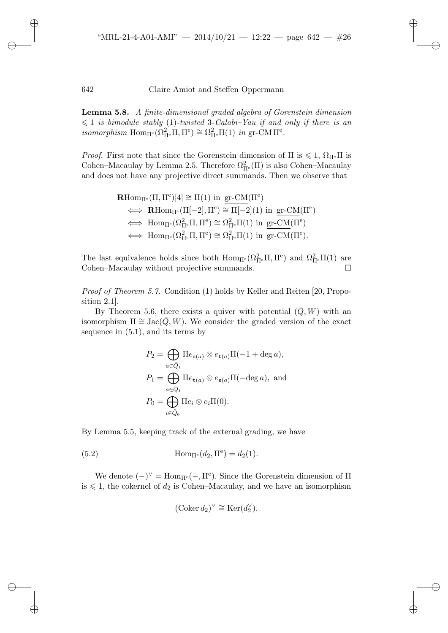✐

 $\rightarrow$ 

✐

✐

**Lemma 5.8.** *A finite-dimensional graded algebra of Gorenstein dimension*  $\leqslant$  1 *is bimodule stably* (1)-twisted 3-Calabi–Yau if and only if there is an  $isomorphism \text{ Hom}_{\Pi^e}(\Omega^2_{\Pi^e}\Pi, \Pi^e) \cong \Omega^2_{\Pi^e}\Pi(1) \text{ in gr-CM }\Pi^e.$ 

*Proof.* First note that since the Gorenstein dimension of  $\Pi$  is  $\leq 1$ ,  $\Omega_{\Pi^e} \Pi$  is Cohen–Macaulay by Lemma 2.5. Therefore  $\Omega^2_{\Pi^e}(\Pi)$  is also Cohen–Macaulay and does not have any projective direct summands. Then we observe that

$$
\begin{aligned} \mathbf{R}\mathrm{Hom}_{\Pi^e}(\Pi,\Pi^e)[4] &\cong \Pi(1)\,\,\mathrm{in}\,\,\underline{\mathrm{gr\text{-}CM}}(\Pi^e)\\ &\iff \mathbf{R}\mathrm{Hom}_{\Pi^e}(\Pi[-2],\Pi^e)\cong \Pi[-2](1)\,\,\mathrm{in}\,\,\underline{\mathrm{gr\text{-}CM}}(\Pi^e)\\ &\iff \mathrm{Hom}_{\Pi^e}(\Omega_{\Pi^e}^2\Pi,\Pi^e)\cong \Omega_{\Pi^e}^2\Pi(1)\,\,\mathrm{in}\,\,\underline{\mathrm{gr\text{-}CM}}(\Pi^e)\\ &\iff \mathrm{Hom}_{\Pi^e}(\Omega_{\Pi^e}^2\Pi,\Pi^e)\cong \Omega_{\Pi^e}^2\Pi(1)\,\,\mathrm{in}\,\,\,\underline{\mathrm{gr\text{-}CM}}(\Pi^e). \end{aligned}
$$

The last equivalence holds since both  $Hom_{\Pi^e}(\Omega_{\Pi^e}^2\Pi,\Pi^e)$  and  $\Omega_{\Pi^e}^2\Pi(1)$  are Cohen–Macaulay without projective summands.

*Proof of Theorem 5.7.* Condition (1) holds by Keller and Reiten [20, Proposition 2.1].

By Theorem 5.6, there exists a quiver with potential  $(\bar{Q}, W)$  with an isomorphism  $\Pi \cong \text{Jac}(\bar{Q}, W)$ . We consider the graded version of the exact sequence in (5.1), and its terms by

$$
P_2 = \bigoplus_{a \in \bar{Q}_1} \Pi e_{\mathbf{s}(a)} \otimes e_{\mathbf{t}(a)} \Pi(-1 + \deg a),
$$
  
\n
$$
P_1 = \bigoplus_{a \in \bar{Q}_1} \Pi e_{\mathbf{t}(a)} \otimes e_{\mathbf{s}(a)} \Pi(-\deg a), \text{ and}
$$
  
\n
$$
P_0 = \bigoplus_{i \in \bar{Q}_0} \Pi e_i \otimes e_i \Pi(0).
$$

By Lemma 5.5, keeping track of the external grading, we have

(5.2) 
$$
\text{Hom}_{\Pi^e}(d_2, \Pi^e) = d_2(1).
$$

We denote  $(-)^{\vee} = \text{Hom}_{\Pi^e}(-, \Pi^e)$ . Since the Gorenstein dimension of  $\Pi$ is  $\leq 1$ , the cokernel of  $d_2$  is Cohen–Macaulay, and we have an isomorphism

$$
(\mathrm{Coker}\,d_2)^\vee \cong \mathrm{Ker}(d_2^\vee).
$$

✐

✐

✐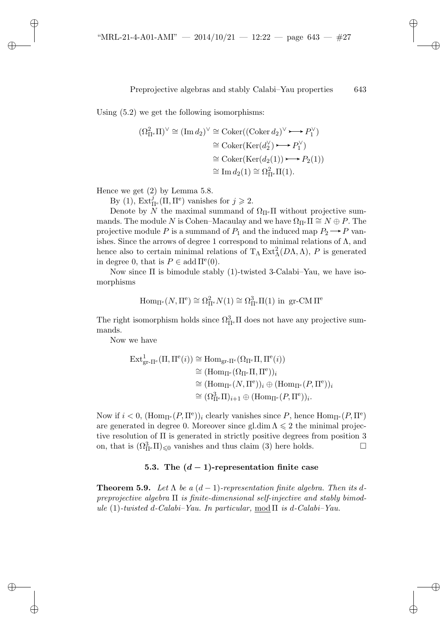Using (5.2) we get the following isomorphisms:

$$
(\Omega_{\Pi^e}^2 \Pi)^\vee \cong (\text{Im } d_2)^\vee \cong \text{Coker}((\text{Coker } d_2)^\vee \longrightarrow P_1^\vee)
$$
  
\n
$$
\cong \text{Coker}(\text{Ker}(d_2^\vee) \longrightarrow P_1^\vee)
$$
  
\n
$$
\cong \text{Coker}(\text{Ker}(d_2(1)) \longrightarrow P_2(1))
$$
  
\n
$$
\cong \text{Im } d_2(1) \cong \Omega_{\Pi^e}^2 \Pi(1).
$$

Hence we get (2) by Lemma 5.8.

✐

 $\rightarrow$ 

✐

✐

By (1),  $\text{Ext}^j_{\Pi^e}(\Pi, \Pi^e)$  vanishes for  $j \geq 2$ .

Denote by N the maximal summand of  $\Omega_{\Pi^e} \Pi$  without projective summands. The module N is Cohen–Macaulay and we have  $\Omega_{\Pi^e}\Pi \cong N \oplus P$ . The projective module P is a summand of  $P_1$  and the induced map  $P_2 \longrightarrow P$  vanishes. Since the arrows of degree 1 correspond to minimal relations of  $\Lambda$ , and hence also to certain minimal relations of  $T_{\Lambda} Ext^2_{\Lambda}(D\Lambda,\Lambda)$ , P is generated in degree 0, that is  $P \in \text{add}\,\Pi^e(0)$ .

Now since  $\Pi$  is bimodule stably (1)-twisted 3-Calabi–Yau, we have isomorphisms

$$
\mathrm{Hom}_{\Pi^e}(N,\Pi^e) \cong \Omega^2_{\Pi^e} N(1) \cong \Omega^3_{\Pi^e} \Pi(1) \text{ in } \mathrm{gr\text{-}CM}\Pi^e
$$

The right isomorphism holds since  $\Omega_{\Pi^e}^3 \Pi$  does not have any projective summands.

Now we have

$$
\begin{aligned} \operatorname{Ext}^1_{\operatorname{gr}\text{-}\Pi^e}(\Pi, \Pi^e(i)) &\cong \operatorname{Hom}_{\operatorname{gr}\text{-}\Pi^e}(\Omega_{\Pi^e}\Pi, \Pi^e(i)) \\ &\cong (\operatorname{Hom}_{\Pi^e}(\Omega_{\Pi^e}\Pi, \Pi^e))_i \\ &\cong (\operatorname{Hom}_{\Pi^e}(N, \Pi^e))_i \oplus (\operatorname{Hom}_{\Pi^e}(P, \Pi^e))_i \\ &\cong (\Omega^3_{\Pi^e}\Pi)_{i+1} \oplus (\operatorname{Hom}_{\Pi^e}(P, \Pi^e))_i. \end{aligned}
$$

Now if  $i < 0$ ,  $(\text{Hom}_{\Pi^e}(P, \Pi^e))_i$  clearly vanishes since P, hence  $\text{Hom}_{\Pi^e}(P, \Pi^e)$ are generated in degree 0. Moreover since gl.dim  $\Lambda \leq 2$  the minimal projective resolution of Π is generated in strictly positive degrees from position 3 on, that is  $(\Omega_{\Pi^e}^3 \Pi)_{\leq 0}$  vanishes and thus claim (3) here holds.

# **5.3.** The  $(d-1)$ -representation finite case

**Theorem 5.9.** *Let*  $\Lambda$  *be a*  $(d-1)$ *-representation finite algebra. Then its dpreprojective algebra* Π *is finite-dimensional self-injective and stably bimod* $ule (1)-twisted d-Calabi-Yau. In particular, mod  $\Pi$  is d-Calabi-Yau.$ 

✐

✐

✐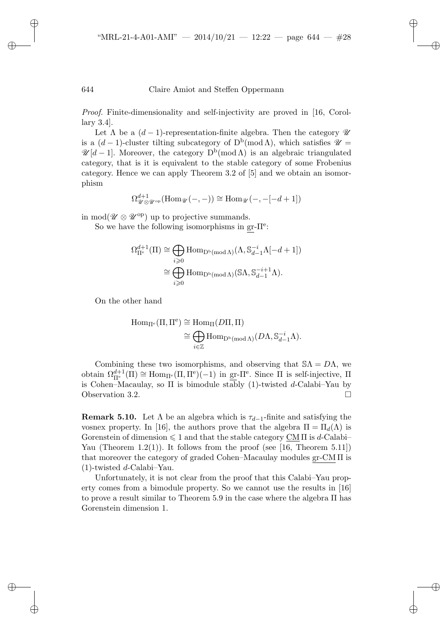*Proof.* Finite-dimensionality and self-injectivity are proved in [16, Corollary 3.4].

Let  $\Lambda$  be a  $(d-1)$ -representation-finite algebra. Then the category  $\mathscr U$ is a  $(d-1)$ -cluster tilting subcategory of  $D^b(\text{mod }\Lambda)$ , which satisfies  $\mathscr{U} =$  $\mathscr{U}[d-1]$ . Moreover, the category  $D^{b}(\text{mod }\Lambda)$  is an algebraic triangulated category, that is it is equivalent to the stable category of some Frobenius category. Hence we can apply Theorem 3.2 of [5] and we obtain an isomorphism

$$
\Omega_{\mathscr{U} \otimes \mathscr{U}^{\mathrm{op}}}^{d+1}(\mathrm{Hom}_{\mathscr{U}}(-,-)) \cong \mathrm{Hom}_{\mathscr{U}}(-, -[-d+1])
$$

in mod( $\mathscr{U} \otimes \mathscr{U}^{\text{op}}$ ) up to projective summands.

So we have the following isomorphisms in  $gr-\Pi^e$ :

$$
\Omega_{\Pi^e}^{d+1}(\Pi) \cong \bigoplus_{i \geqslant 0} \text{Hom}_{\mathcal{D}^b(\text{mod}\,\Lambda)}(\Lambda, \mathbb{S}_{d-1}^{-i}\Lambda[-d+1])
$$

$$
\cong \bigoplus_{i \geqslant 0} \text{Hom}_{\mathcal{D}^b(\text{mod}\,\Lambda)}(\mathbb{S}\Lambda, \mathbb{S}_{d-1}^{-i+1}\Lambda).
$$

On the other hand

✐

 $\rightarrow$ 

✐

✐

$$
\begin{aligned} \mathrm{Hom}_{\Pi^e}(\Pi, \Pi^e) &\cong \mathrm{Hom}_{\Pi}(D\Pi, \Pi) \\ &\cong \bigoplus_{i \in \mathbb{Z}} \mathrm{Hom}_{\mathrm{D^b}(\mathrm{mod}\,\Lambda)}(D\Lambda, \mathbb{S}_{d-1}^{-i}\Lambda). \end{aligned}
$$

Combining these two isomorphisms, and observing that  $\mathcal{S}\Lambda = D\Lambda$ , we obtain  $\Omega_{\Pi^e}^{d+1}(\Pi) \cong \text{Hom}_{\Pi^e}(\Pi, \Pi^e)(-1)$  in gr- $\Pi^e$ . Since  $\Pi$  is self-injective,  $\Pi$ is Cohen–Macaulay, so  $\Pi$  is bimodule stably (1)-twisted d-Calabi–Yau by Observation 3.2.

**Remark 5.10.** Let  $\Lambda$  be an algebra which is  $\tau_{d-1}$ -finite and satisfying the vosnex property. In [16], the authors prove that the algebra  $\Pi = \Pi_d(\Lambda)$  is Gorenstein of dimension  $\leq 1$  and that the stable category  $\underline{\text{CM}}$  II is d-Calabi– Yau (Theorem 1.2(1)). It follows from the proof (see [16, Theorem 5.11]) that moreover the category of graded Cohen–Macaulay modules  $gr-CM \Pi$  is  $(1)$ -twisted d-Calabi–Yau.

Unfortunately, it is not clear from the proof that this Calabi–Yau property comes from a bimodule property. So we cannot use the results in [16] to prove a result similar to Theorem 5.9 in the case where the algebra Π has Gorenstein dimension 1.

✐

✐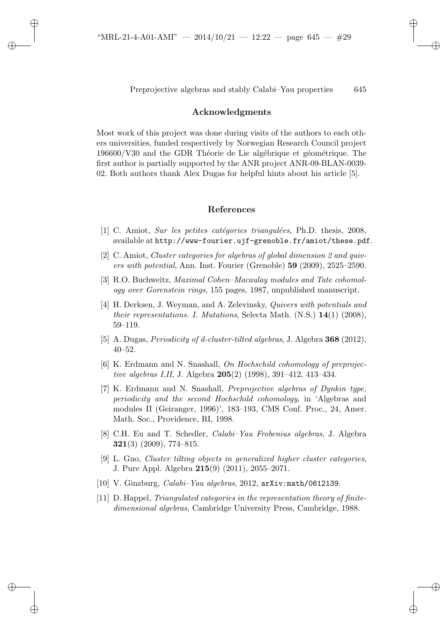$\rightarrow$ 

✐

✐

Preprojective algebras and stably Calabi–Yau properties 645

✐

✐

✐

✐

# **Acknowledgments**

Most work of this project was done during visits of the authors to each others universities, funded respectively by Norwegian Research Council project  $196600/V30$  and the GDR Théorie de Lie algébrique et géométrique. The first author is partially supported by the ANR project ANR-09-BLAN-0039- 02. Both authors thank Alex Dugas for helpful hints about his article [5].

# **References**

- [1] C. Amiot, *Sur les petites cat´egories triangul´ees*, Ph.D. thesis, 2008, available at http://www-fourier.ujf-grenoble.fr/amiot/these.pdf.
- [2] C. Amiot, *Cluster categories for algebras of global dimension 2 and quivers with potential*, Ann. Inst. Fourier (Grenoble) **59** (2009), 2525–2590.
- [3] R.O. Buchweitz, *Maximal Cohen–Macaulay modules and Tate cohomology over Gorenstein rings*, 155 pages, 1987, unpublished manuscript.
- [4] H. Derksen, J. Weyman, and A. Zelevinsky, *Quivers with potentials and their representations. I. Mutations*, Selecta Math. (N.S.) **14**(1) (2008), 59–119.
- [5] A. Dugas, *Periodicity of d-cluster-tilted algebras*, J. Algebra **368** (2012), 40–52.
- [6] K. Erdmann and N. Snashall, *On Hochschild cohomology of preprojective algebras I,II*, J. Algebra **205**(2) (1998), 391–412, 413–434.
- [7] K. Erdmann and N. Snashall, *Preprojective algebras of Dynkin type, periodicity and the second Hochschild cohomology*, in 'Algebras and modules II (Geiranger, 1996)', 183–193, CMS Conf. Proc., 24, Amer. Math. Soc., Providence, RI, 1998.
- [8] C.H. Eu and T. Schedler, *Calabi–Yau Frobenius algebras*, J. Algebra **321**(3) (2009), 774–815.
- [9] L. Guo, *Cluster tilting objects in generalized higher cluster categories*, J. Pure Appl. Algebra **215**(9) (2011), 2055–2071.
- [10] V. Ginzburg, *Calabi–Yau algebras*, 2012, arXiv:math/0612139.
- [11] D. Happel, *Triangulated categories in the representation theory of finitedimensional algebras,* Cambridge University Press, Cambridge, 1988.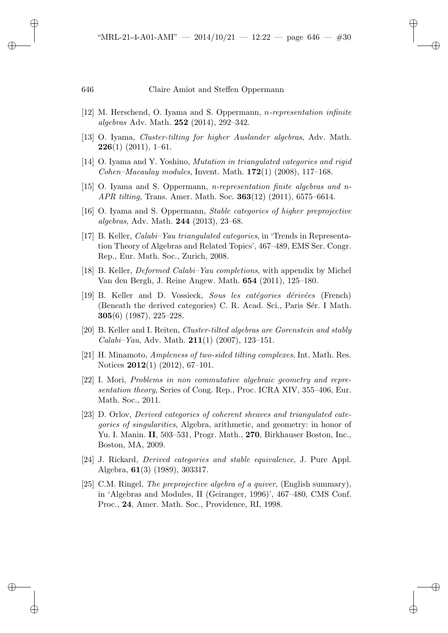✐

 $\rightarrow$ 

✐

✐

- [12] M. Herschend, O. Iyama and S. Oppermann, n*-representation infinite algebras* Adv. Math. **252** (2014), 292–342.
- [13] O. Iyama, *Cluster-tilting for higher Auslander algebras*, Adv. Math. **226**(1) (2011), 1–61.
- [14] O. Iyama and Y. Yoshino, *Mutation in triangulated categories and rigid Cohen–Macaulay modules*, Invent. Math. **172**(1) (2008), 117–168.
- [15] O. Iyama and S. Oppermann, *n-representation finite algebras and n-APR tilting,* Trans. Amer. Math. Soc. **363**(12) (2011), 6575–6614.
- [16] O. Iyama and S. Oppermann, *Stable categories of higher preprojective algebras*, Adv. Math. **244** (2013), 23–68.
- [17] B. Keller, *Calabi–Yau triangulated categories*, in 'Trends in Representation Theory of Algebras and Related Topics', 467–489, EMS Ser. Congr. Rep., Eur. Math. Soc., Zurich, 2008.
- [18] B. Keller, *Deformed Calabi–Yau completions*, with appendix by Michel Van den Bergh, J. Reine Angew. Math. **654** (2011), 125–180.
- [19] B. Keller and D. Vossieck, *Sous les catégories dérivées* (French) (Beneath the derived categories) C. R. Acad. Sci., Paris Sér. I Math. **305**(6) (1987), 225–228.
- [20] B. Keller and I. Reiten, *Cluster-tilted algebras are Gorenstein and stably Calabi–Yau*, Adv. Math. **211**(1) (2007), 123–151.
- [21] H. Minamoto, *Ampleness of two-sided tilting complexes*, Int. Math. Res. Notices **2012**(1) (2012), 67–101.
- [22] I. Mori, *Problems in non commutative algebraic geometry and representation theory*, Series of Cong. Rep., Proc. ICRA XIV, 355–406, Eur. Math. Soc., 2011.
- [23] D. Orlov, *Derived categories of coherent sheaves and triangulated categories of singularities*, Algebra, arithmetic, and geometry: in honor of Yu. I. Manin. **II**, 503–531, Progr. Math., **270**, Birkhauser Boston, Inc., Boston, MA, 2009.
- [24] J. Rickard, *Derived categories and stable equivalence*, J. Pure Appl. Algebra, **61**(3) (1989), 303317.
- [25] C.M. Ringel, *The preprojective algebra of a quiver,* (English summary), in 'Algebras and Modules, II (Geiranger, 1996)', 467–480, CMS Conf. Proc., **24**, Amer. Math. Soc., Providence, RI, 1998.

✐

✐

✐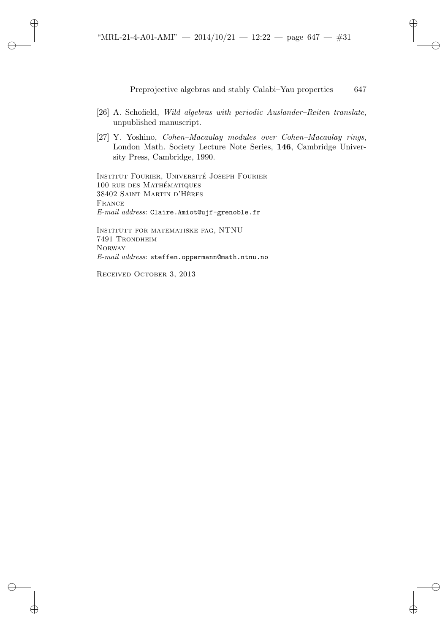- [26] A. Schofield, *Wild algebras with periodic Auslander–Reiten translate*, unpublished manuscript.
- [27] Y. Yoshino, *Cohen–Macaulay modules over Cohen–Macaulay rings*, London Math. Society Lecture Note Series, **146**, Cambridge University Press, Cambridge, 1990.

INSTITUT FOURIER, UNIVERSITÉ JOSEPH FOURIER 100 rue des Mathematiques ´ 38402 Saint Martin d'Heres ` France *E-mail address*: Claire.Amiot@ujf-grenoble.fr

Institutt for matematiske fag, NTNU 7491 Trondheim **NORWAY** *E-mail address*: steffen.oppermann@math.ntnu.no

Received October 3, 2013

✐

 $\rightarrow$ 

✐

✐

✐

✐